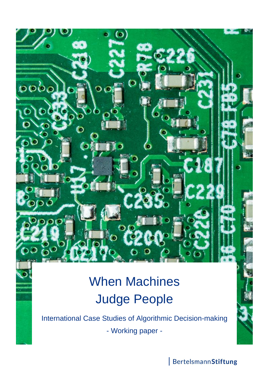# When Machines Judge People

 $\omega$ 

O

Ď

 $\circ$ 

 $\omega l$ 

 $0000$ 

International Case Studies of Algorithmic Decision-making - Working paper -

BertelsmannStiftung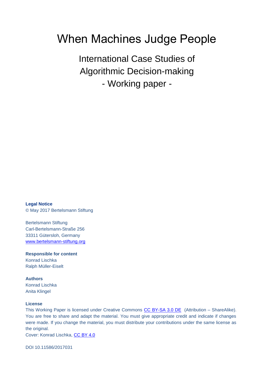## When Machines Judge People

International Case Studies of Algorithmic Decision-making - Working paper -

**Legal Notice** © May 2017 Bertelsmann Stiftung

Bertelsmann Stiftung Carl-Bertelsmann-Straße 256 33311 Gütersloh, Germany [www.bertelsmann-stiftung.org](http://www.bertelsmann-stiftung.org/)

**Responsible for content** Konrad Lischka Ralph Müller-Eiselt

**Authors** Konrad Lischka Anita Klingel

#### **License**

This Working Paper is licensed under Creative Commons [CC BY-SA 3.0 DE](https://creativecommons.org/licenses/by-sa/3.0/de/) (Attribution – ShareAlike). You are free to share and adapt the material. You must give appropriate credit and indicate if changes were made. If you change the material, you must distribute your contributions under the same license as the original.

Cover: Konrad Lischka, [CC BY 4.0](https://creativecommons.org/licenses/by/4.0/)

DOI 10.11586/2017031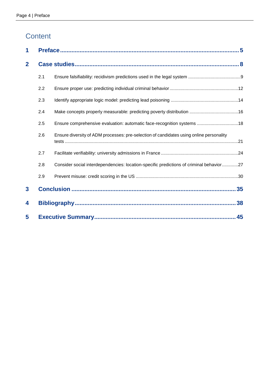### **Content**

| 1              |     |                                                                                         |  |
|----------------|-----|-----------------------------------------------------------------------------------------|--|
| $\overline{2}$ |     |                                                                                         |  |
|                | 2.1 |                                                                                         |  |
|                | 2.2 |                                                                                         |  |
|                | 2.3 |                                                                                         |  |
|                | 2.4 |                                                                                         |  |
|                | 2.5 | Ensure comprehensive evaluation: automatic face-recognition systems 18                  |  |
|                | 2.6 | Ensure diversity of ADM processes: pre-selection of candidates using online personality |  |
|                | 2.7 |                                                                                         |  |
|                | 2.8 | Consider social interdependencies: location-specific predictions of criminal behavior27 |  |
|                | 2.9 |                                                                                         |  |
| $\mathbf{3}$   |     |                                                                                         |  |
| 4              |     |                                                                                         |  |
| 5              |     |                                                                                         |  |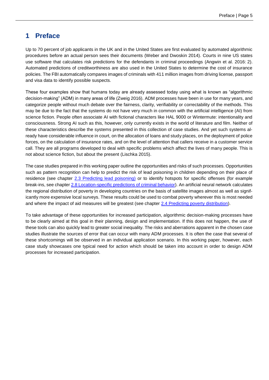### <span id="page-4-0"></span>**1 Preface**

Up to 70 percent of job applicants in the UK and in the United States are first evaluated by automated algorithmic procedures before an actual person sees their documents (Weber and Dwoskin 2014). Courts in nine US states use software that calculates risk predictions for the defendants in criminal proceedings (Angwin et al. 2016: 2). Automated predictions of creditworthiness are also used in the United States to determine the cost of insurance policies. The FBI automatically compares images of criminals with 411 million images from driving license, passport and visa data to identify possible suspects.

These four examples show that humans today are already assessed today using what is known as "algorithmic decision-making" (ADM) in many areas of life (Zweig 2016). ADM processes have been in use for many years, and categorize people without much debate over the fairness, clarity, verifiability or correctability of the methods. This may be due to the fact that the systems do not have very much in common with the artificial intelligence (AI) from science fiction. People often associate AI with fictional characters like HAL 9000 or Wintermute: intentionality and consciousness. Strong AI such as this, however, only currently exists in the world of literature and film. Neither of these characteristics describe the systems presented in this collection of case studies. And yet such systems already have considerable influence in court, on the allocation of loans and study places, on the deployment of police forces, on the calculation of insurance rates, and on the level of attention that callers receive in a customer service call. They are all programs developed to deal with specific problems which affect the lives of many people. This is not about science fiction, but about the present (Lischka 2015).

The case studies prepared in this working paper outline the opportunities and risks of such processes. Opportunities such as pattern recognition can help to predict the risk of lead poisoning in children depending on their place of residence (see chapter [2.3 Predicting lead poisoning\)](#page-13-0) or to identify hotspots for specific offenses (for example break-ins, see chapter [2.8 Location-specific predictions of criminal behavior\)](#page-26-0). An artificial neural network calculates the regional distribution of poverty in developing countries on the basis of satellite images almost as well as significantly more expensive local surveys. These results could be used to combat poverty wherever this is most needed and where the impact of aid measures will be greatest (see chapter [2.4 Predicting poverty distribution\)](#page-15-0).

To take advantage of these opportunities for increased participation, algorithmic decision-making processes have to be clearly aimed at this goal in their planning, design and implementation. If this does not happen, the use of these tools can also quickly lead to greater social inequality. The risks and aberrations apparent in the chosen case studies illustrate the sources of error that can occur with many ADM processes. It is often the case that several of these shortcomings will be observed in an individual application scenario. In this working paper, however, each case study showcases one typical need for action which should be taken into account in order to design ADM processes for increased participation.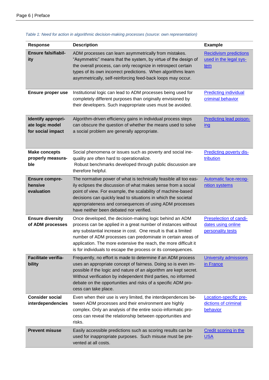| Response                                                   | <b>Description</b>                                                                                                                                                                                                                                                                                                                                                                             | <b>Example</b>                                                    |
|------------------------------------------------------------|------------------------------------------------------------------------------------------------------------------------------------------------------------------------------------------------------------------------------------------------------------------------------------------------------------------------------------------------------------------------------------------------|-------------------------------------------------------------------|
| <b>Ensure falsifiabil-</b><br>ity                          | ADM processes can learn asymmetrically from mistakes.<br>"Asymmetric" means that the system, by virtue of the design of<br>the overall process, can only recognize in retrospect certain<br>types of its own incorrect predictions. When algorithms learn<br>asymmetrically, self-reinforcing feed-back loops may occur.                                                                       | <b>Recidivism predictions</b><br>used in the legal sys-<br>tem    |
| Ensure proper use                                          | Institutional logic can lead to ADM processes being used for<br>completely different purposes than originally envisioned by<br>their developers. Such inappropriate uses must be avoided.                                                                                                                                                                                                      | <b>Predicting individual</b><br>criminal behavior                 |
| Identify appropri-<br>ate logic model<br>for social impact | Algorithm-driven efficiency gains in individual process steps<br>can obscure the question of whether the means used to solve<br>a social problem are generally appropriate.                                                                                                                                                                                                                    | <b>Predicting lead poison-</b><br><u>ing</u>                      |
| <b>Make concepts</b><br>properly measura-<br>ble           | Social phenomena or issues such as poverty and social ine-<br>quality are often hard to operationalize.<br>Robust benchmarks developed through public discussion are<br>therefore helpful.                                                                                                                                                                                                     | <b>Predicting poverty dis-</b><br>tribution                       |
| <b>Ensure compre-</b><br>hensive<br>evaluation             | The normative power of what is technically feasible all too eas-<br>ily eclipses the discussion of what makes sense from a social<br>point of view. For example, the scalability of machine-based<br>decisions can quickly lead to situations in which the societal<br>appropriateness and consequences of using ADM processes<br>have neither been debated nor verified.                      | <b>Automatic face-recog-</b><br>nition systems                    |
| <b>Ensure diversity</b><br>of ADM processes                | Once developed, the decision-making logic behind an ADM<br>process can be applied in a great number of instances without<br>any substantial increase in cost. One result is that a limited<br>number of ADM processes can predominate in certain areas of<br>application. The more extensive the reach, the more difficult it<br>is for individuals to escape the process or its consequences. | Preselection of candi-<br>dates using online<br>personality tests |
| <b>Facilitate verifia-</b><br>bility                       | Frequently, no effort is made to determine if an ADM process<br>uses an appropriate concept of fairness. Doing so is even im-<br>possible if the logic and nature of an algorithm are kept secret.<br>Without verification by independent third parties, no informed<br>debate on the opportunities and risks of a specific ADM pro-<br>cess can take place.                                   | <b>University admissions</b><br>in France                         |
| <b>Consider social</b><br>interdependencies                | Even when their use is very limited, the interdependences be-<br>tween ADM processes and their environment are highly<br>complex. Only an analysis of the entire socio-informatic pro-<br>cess can reveal the relationship between opportunities and<br>risks.                                                                                                                                 | Location-specific pre-<br>dictions of criminal<br>behavior        |
| <b>Prevent misuse</b>                                      | Easily accessible predictions such as scoring results can be<br>used for inappropriate purposes. Such misuse must be pre-<br>vented at all costs.                                                                                                                                                                                                                                              | <b>Credit scoring in the</b><br><b>USA</b>                        |

#### <span id="page-5-0"></span>*Table 1: Need for action in algorithmic decision-making processes (source: own representation)*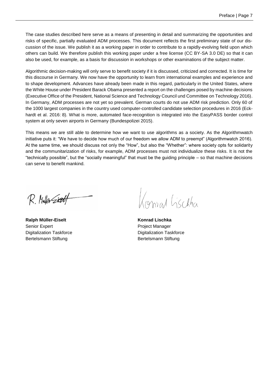The case studies described here serve as a means of presenting in detail and summarizing the opportunities and risks of specific, partially evaluated ADM processes. This document reflects the first preliminary state of our discussion of the issue. We publish it as a working paper in order to contribute to a rapidly-evolving field upon which others can build. We therefore publish this working paper under a free license (CC BY-SA 3.0 DE) so that it can also be used, for example, as a basis for discussion in workshops or other examinations of the subject matter.

Algorithmic decision-making will only serve to benefit society if it is discussed, criticized and corrected. It is time for this discourse in Germany. We now have the opportunity to learn from international examples and experience and to shape development. Advances have already been made in this regard, particularly in the United States, where the White House under President Barack Obama presented a report on the challenges posed by machine decisions (Executive Office of the President, National Science and Technology Council und Committee on Technology 2016). In Germany, ADM processes are not yet so prevalent. German courts do not use ADM risk prediction. Only 60 of the 1000 largest companies in the country used computer-controlled candidate selection procedures in 2016 (Eckhardt et al. 2016: 8). What is more, automated face-recognition is integrated into the EasyPASS border control system at only seven airports in Germany (Bundespolizei 2015).

This means we are still able to determine how we want to use algorithms as a society. As the Algorithmwatch initiative puts it: "We have to decide how much of our freedom we allow ADM to preempt" (Algorithmwatch 2016). At the same time, we should discuss not only the "How", but also the "Whether": where society opts for solidarity and the communitarization of risks, for example, ADM processes must not individualize these risks. It is not the "technically possible", but the "socially meaningful" that must be the guiding principle – so that machine decisions can serve to benefit mankind.

R. Muller Sitetf

**Ralph Müller-Eiselt Konrad Lischka** Senior Expert **Project Manager** Project Manager Bertelsmann Stiftung **Bertelsmann Stiftung** 

Konvad Lischha

Digitalization Taskforce **Digitalization Taskforce Digitalization Taskforce**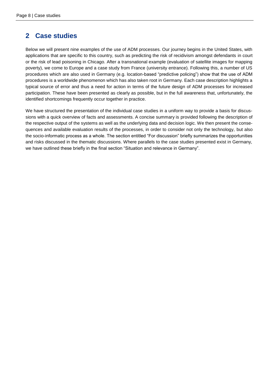### <span id="page-7-0"></span>**2 Case studies**

Below we will present nine examples of the use of ADM processes. Our journey begins in the United States, with applications that are specific to this country, such as predicting the risk of recidivism amongst defendants in court or the risk of lead poisoning in Chicago. After a transnational example (evaluation of satellite images for mapping poverty), we come to Europe and a case study from France (university entrance). Following this, a number of US procedures which are also used in Germany (e.g. location-based "predictive policing") show that the use of ADM procedures is a worldwide phenomenon which has also taken root in Germany. Each case description highlights a typical source of error and thus a need for action in terms of the future design of ADM processes for increased participation. These have been presented as clearly as possible, but in the full awareness that, unfortunately, the identified shortcomings frequently occur together in practice.

We have structured the presentation of the individual case studies in a uniform way to provide a basis for discussions with a quick overview of facts and assessments. A concise summary is provided following the description of the respective output of the systems as well as the underlying data and decision logic. We then present the consequences and available evaluation results of the processes, in order to consider not only the technology, but also the socio-informatic process as a whole. The section entitled "For discussion" briefly summarizes the opportunities and risks discussed in the thematic discussions. Where parallels to the case studies presented exist in Germany, we have outlined these briefly in the final section "Situation and relevance in Germany".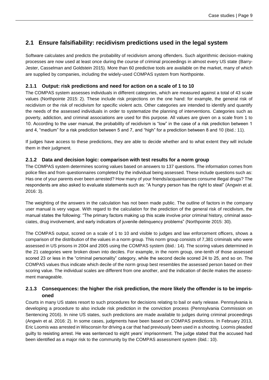### <span id="page-8-0"></span>**2.1 Ensure falsifiability: recidivism predictions used in the legal system**

Software calculates and predicts the probability of recidivism among offenders. Such algorithmic decision-making processes are now used at least once during the course of criminal proceedings in almost every US state (Barry-Jester, Casselman and Goldstein 2015). More than 60 predictive tools are available on the market, many of which are supplied by companies, including the widely-used COMPAS system from Northpointe.

### **2.1.1 Output: risk predictions and need for action on a scale of 1 to 10**

The COMPAS system assesses individuals in different categories, which are measured against a total of 43 scale values (Northpointe 2015: 2). These include risk projections on the one hand: for example, the general risk of recidivism or the risk of recidivism for specific violent acts. Other categories are intended to identify and quantify the needs of the assessed individuals in order to systematize the planning of interventions. Categories such as poverty, addiction, and criminal associations are used for this purpose. All values are given on a scale from 1 to 10. According to the user manual, the probability of recidivism is "low" in the case of a risk prediction between 1 and 4, "medium" for a risk prediction between 5 and 7, and "high" for a prediction between 8 and 10 (ibid.: 11).

If judges have access to these predictions, they are able to decide whether and to what extent they will include them in their judgment.

### **2.1.2 Data and decision logic: comparison with test results for a norm group**

The COMPAS system determines scoring values based on answers to 137 questions. The information comes from police files and from questionnaires completed by the individual being assessed. These include questions such as: Has one of your parents ever been arrested? How many of your friends/acquaintances consume illegal drugs? The respondents are also asked to evaluate statements such as: "A hungry person has the right to steal" (Angwin et al. 2016: 3).

The weighting of the answers in the calculation has not been made public. The outline of factors in the company user manual is very vague. With regard to the calculation for the prediction of the general risk of recidivism, the manual states the following: "The primary factors making up this scale involve prior criminal history, criminal associates, drug involvement, and early indicators of juvenile delinquency problems" (Northpointe 2015: 30).

The COMPAS output, scored on a scale of 1 to 10 and visible to judges and law enforcement officers, shows a comparison of the distribution of the values in a norm group. This norm group consists of 7,381 criminals who were assessed in US prisons in 2004 and 2005 using the COMPAS system (ibid.: 14). The scoring values determined in the 21 categories were broken down into deciles. For example, in the norm group, one-tenth of those assessed scored 23 or less in the "criminal personality" category, while the second decile scored 24 to 25, and so on. The COMPAS values thus indicate which decile of the norm group best resembles the assessed person based on their scoring value. The individual scales are different from one another, and the indication of decile makes the assessment manageable.

### **2.1.3 Consequences: the higher the risk prediction, the more likely the offender is to be imprisoned**

Courts in many US states resort to such procedures for decisions relating to bail or early release. Pennsylvania is developing a procedure to also include risk prediction in the conviction process (Pennsylvania Commission on Sentencing 2016). In nine US states, such predictions are made available to judges during criminal proceedings (Angwin et al. 2016: 2). In some cases, judgments have been based on COMPAS predictions. In February 2013, Eric Loomis was arrested in Wisconsin for driving a car that had previously been used in a shooting. Loomis pleaded guilty to resisting arrest. He was sentenced to eight years' imprisonment. The judge stated that the accused had been identified as a major risk to the community by the COMPAS assessment system (ibid.: 10).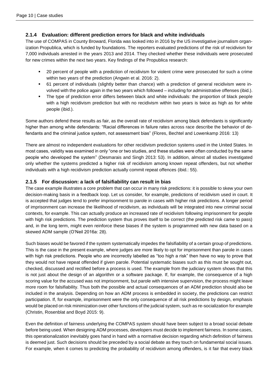### **2.1.4 Evaluation: different prediction errors for black and white individuals**

The use of COMPAS in County Broward, Florida was looked into in 2016 by the US investigative journalism organization Propublica, which is funded by foundations. The reporters evaluated predictions of the risk of recidivism for 7,000 individuals arrested in the years 2013 and 2014. They checked whether these individuals were prosecuted for new crimes within the next two years. Key findings of the Propublica research:

- 20 percent of people with a prediction of recidivism for violent crime were prosecuted for such a crime within two years of the prediction (Angwin et al. 2016: 2).
- 61 percent of individuals (slightly better than chance) with a prediction of general recidivism were involved with the police again in the two years which followed – including for administrative offenses (ibid.).
- The type of prediction error differs between black and white individuals: the proportion of black people with a high recidivism prediction but with no recidivism within two years is twice as high as for white people (ibid.).

Some authors defend these results as fair, as the overall rate of recidivism among black defendants is significantly higher than among white defendants: "Racial differences in failure rates across race describe the behavior of defendants and the criminal justice system, not assessment bias" (Flores, Bechtel and Lowenkamp 2016: 13)

There are almost no independent evaluations for other recidivism prediction systems used in the United States. In most cases, validity was examined in only "one or two studies, and these studies were often conducted by the same people who developed the system" (Desmarais and Singh 2013: 53). In addition, almost all studies investigated only whether the systems predicted a higher risk of recidivism among known repeat offenders, but not whether individuals with a high recidivism prediction actually commit repeat offences (ibid.: 55).

### **2.1.5 For discussion: a lack of falsifiability can result in bias**

The case example illustrates a core problem that can occur in many risk predictions: it is possible to skew your own decision-making basis in a feedback loop. Let us consider, for example, predictions of recidivism used in court. It is accepted that judges tend to prefer imprisonment to parole in cases with higher risk predictions. A longer period of imprisonment can increase the likelihood of recidivism, as individuals will be integrated into new criminal social contexts, for example. This can actually produce an increased rate of recidivism following imprisonment for people with high risk predictions. The prediction system thus proves itself to be correct (the predicted risk came to pass) and, in the long term, might even reinforce these biases if the system is programmed with new data based on a skewed ADM sample (O'Neil 2016a: 28).

Such biases would be favored if the system systematically impedes the falsifiability of a certain group of predictions. This is the case in the present example, where judges are more likely to opt for imprisonment than parole in cases with high risk predictions. People who are incorrectly labelled as "too high a risk" then have no way to prove that they would not have repeat offended if given parole. Potential systematic biases such as this must be sought out, checked, discussed and rectified before a process is used. The example from the judiciary system shows that this is not just about the design of an algorithm or a software package. If, for example, the consequence of a high scoring value for the accused was not imprisonment, but parole with intensive supervision, the process might leave more room for falsifiability. Thus both the possible and actual consequences of an ADM prediction should also be included in the analysis. Depending on how an ADM process is embedded in society, the predictions can restrict participation. If, for example, imprisonment were the only consequence of all risk predictions by design, emphasis would be placed on risk minimization over other functions of the judicial system, such as re-socialization for example (Christin, Rosenblat and Boyd 2015: 9).

Even the definition of fairness underlying the COMPAS system should have been subject to a broad social debate before being used. When designing ADM processes, developers must decide to implement fairness. In some cases, this operationalization inevitably goes hand in hand with a normative decision regarding which definition of fairness is deemed just. Such decisions should be preceded by a social debate as they touch on fundamental social issues. For example, when it comes to predicting the probability of recidivism among offenders, is it fair that every black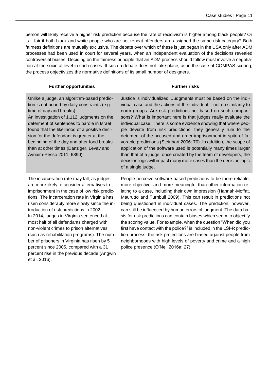person will likely receive a higher risk prediction because the rate of recidivism is higher among black people? Or is it fair if both black and white people who are not repeat offenders are assigned the same risk category? Both fairness definitions are mutually exclusive. The debate over which of these is just began in the USA only after ADM processes had been used in court for several years, when an independent evaluation of the decisions revealed controversial biases. Deciding on the fairness principle that an ADM process should follow must involve a negotiation at the societal level in such cases. If such a debate does not take place, as in the case of COMPAS scoring, the process objectivizes the normative definitions of its small number of designers.

| <b>Further opportunities</b>                                                                                                                                                                                                                                                                                                                                                                                                                                                                                                                                                                                                        | <b>Further risks</b>                                                                                                                                                                                                                                                                                                                                                                                                                                                                                                                                                                                                                                                                                                                                                                                             |
|-------------------------------------------------------------------------------------------------------------------------------------------------------------------------------------------------------------------------------------------------------------------------------------------------------------------------------------------------------------------------------------------------------------------------------------------------------------------------------------------------------------------------------------------------------------------------------------------------------------------------------------|------------------------------------------------------------------------------------------------------------------------------------------------------------------------------------------------------------------------------------------------------------------------------------------------------------------------------------------------------------------------------------------------------------------------------------------------------------------------------------------------------------------------------------------------------------------------------------------------------------------------------------------------------------------------------------------------------------------------------------------------------------------------------------------------------------------|
| Unlike a judge, an algorithm-based predic-<br>tion is not bound by daily constraints (e.g.<br>time of day and breaks).<br>An investigation of 1,112 judgments on the<br>deferment of sentences to parole in Israel<br>found that the likelihood of a positive deci-<br>sion for the defendant is greater at the<br>beginning of the day and after food breaks<br>than at other times (Danziger, Levav and<br>Avnaim-Pesso 2011: 6890).                                                                                                                                                                                              | Justice is individualized. Judgments must be based on the indi-<br>vidual case and the actions of the individual - not on similarity to<br>norm groups. Are risk predictions not based on such compari-<br>sons? What is important here is that judges really evaluate the<br>individual case. There is some evidence showing that where peo-<br>ple deviate from risk predictions, they generally rule to the<br>detriment of the accused and order imprisonment in spite of fa-<br>vorable predictions (Steinhart 2006: 70). In addition, the scope of<br>application of the software used is potentially many times larger<br>than that of a judge: once created by the team of developers, the<br>decision logic will impact many more cases than the decision logic<br>of a single judge.                   |
| The incarceration rate may fall, as judges<br>are more likely to consider alternatives to<br>imprisonment in the case of low risk predic-<br>tions. The incarceration rate in Virginia has<br>risen considerably more slowly since the in-<br>troduction of risk predictions in 2002.<br>In 2014, judges in Virginia sentenced al-<br>most half of all defendants charged with<br>non-violent crimes to prison alternatives<br>(such as rehabilitation programs). The num-<br>ber of prisoners in Virginia has risen by 5<br>percent since 2005, compared with a 31<br>percent rise in the previous decade (Angwin<br>et al. 2016). | People perceive software-based predictions to be more reliable,<br>more objective, and more meaningful than other information re-<br>lating to a case, including their own impression (Hannah-Moffat,<br>Maurutto and Turnbull 2009). This can result in predictions not<br>being questioned in individual cases. The prediction, however,<br>can still be influenced by human errors of judgment. The data ba-<br>sis for risk predictions can contain biases which seem to objectify<br>the scoring value. For example, when the question "When did you<br>first have contact with the police?" is included in the LSI-R predic-<br>tion process, the risk projections are biased against people from<br>neighborhoods with high levels of poverty and crime and a high<br>police presence (O'Neil 2016a: 27). |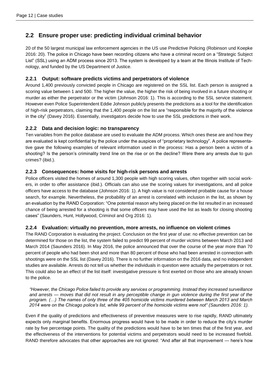### <span id="page-11-0"></span>**2.2 Ensure proper use: predicting individual criminal behavior**

20 of the 50 largest municipal law enforcement agencies in the US use Predictive Policing (Robinson und Koepke 2016: 20). The police in Chicago have been recording citizens who have a criminal record on a "Strategic Subject List" (SSL) using an ADM process since 2013. The system is developed by a team at the Illinois Institute of Technology, and funded by the US Department of Justice.

### **2.2.1 Output: software predicts victims and perpetrators of violence**

Around 1,400 previously convicted people in Chicago are registered on the SSL list. Each person is assigned a scoring value between 1 and 500. The higher the value, the higher the risk of being involved in a future shooting or murder as either the perpetrator or the victim (Johnson 2016: 1). This is according to the SSL service statement. However even Police Superintendent Eddie Johnson publicly presents the predictions as a tool for the identification of high-risk perpetrators, claiming that the 1,400 people on the list are "responsible for the majority of the violence in the city" (Davey 2016). Essentially, investigators decide how to use the SSL predictions in their work.

### **2.2.2 Data and decision logic: no transparency**

Ten variables from the police database are used to evaluate the ADM process. Which ones these are and how they are evaluated is kept confidential by the police under the auspices of "proprietary technology". A police representative gave the following examples of relevant information used in the process: Has a person been a victim of a shooting? Is the person's criminality trend line on the rise or on the decline? Were there any arrests due to gun crimes? (ibid.).

### **2.2.3 Consequences: home visits for high-risk persons and arrests**

Police officers visited the homes of around 1,300 people with high scoring values, often together with social workers, in order to offer assistance (ibid.). Officials can also use the scoring values for investigations, and all police officers have access to the database (Johnson 2016: 1). A high value is not considered probable cause for a house search, for example. Nevertheless, the probability of an arrest is correlated with inclusion in the list, as shown by an evaluation by the RAND Corporation: "One potential reason why being placed on the list resulted in an increased chance of being arrested for a shooting is that some officers may have used the list as leads for closing shooting cases" (Saunders, Hunt, Hollywood, Criminol and Org 2016: 1).

### **2.2.4 Evaluation: virtually no prevention, more arrests, no influence on violent crimes**

The RAND Corporation is evaluating the project. Conclusion on the first year of use: no effective prevention can be determined for those on the list, the system failed to predict 99 percent of murder victims between March 2013 and March 2014 (Saunders 2016). In May 2016, the police announced that over the course of the year more than 70 percent of people who had been shot and more than 80 percent of those who had been arrested in connection with shootings were on the SSL list (Davey 2016). There is no further information on the 2016 data, and no independent studies are available. Arrests do not tell us whether the individuals in question were actually the perpetrators or not. This could also be an effect of the list itself: investigative pressure is first exerted on those who are already known to the police.

*"However, the Chicago Police failed to provide any services or programming. Instead they increased surveillance and arrests — moves that did not result in any perceptible change in gun violence during the first year of the program. (…) The names of only three of the 405 homicide victims murdered between March 2013 and March 2014 were on the Chicago police's list, while 99 percent of the homicide victims were not" (Saunders 2016: 1).*

Even if the quality of predictions and effectiveness of preventive measures were to rise rapidly, RAND ultimately expects only marginal benefits. Enormous progress would have to be made in order to reduce the city's murder rate by five percentage points. The quality of the predictions would have to be ten times that of the first year, and the effectiveness of the interventions for potential victims and perpetrators would need to be increased fivefold. RAND therefore advocates that other approaches are not ignored: "And after all that improvement — here's how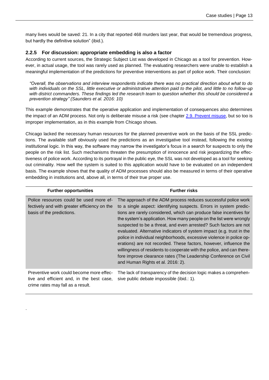many lives would be saved: 21. In a city that reported 468 murders last year, that would be tremendous progress, but hardly the definitive solution" (ibid.).

#### **2.2.5 For discussion: appropriate embedding is also a factor**

.

According to current sources, the Strategic Subject List was developed in Chicago as a tool for prevention. However, in actual usage, the tool was rarely used as planned. The evaluating researchers were unable to establish a meaningful implementation of the predictions for preventive interventions as part of police work. Their conclusion:

*"Overall, the observations and interview respondents indicate there was no practical direction about what to do with individuals on the SSL, little executive or administrative attention paid to the pilot, and little to no follow-up with district commanders. These findings led the research team to question whether this should be considered a prevention strategy" (Saunders et al. 2016: 10)*

This example demonstrates that the operative application and implementation of consequences also determines the impact of an ADM process. Not only is deliberate misuse a risk (see chapter [2.9. Prevent misuse,](#page-29-0) but so too is improper implementation, as in this example from Chicago shows.

Chicago lacked the necessary human resources for the planned preventive work on the basis of the SSL predictions. The available staff obviously used the predictions as an investigative tool instead, following the existing institutional logic. In this way, the software may narrow the investigator's focus in a search for suspects to only the people on the risk list. Such mechanisms threaten the presumption of innocence and risk jeopardizing the effectiveness of police work. According to its portrayal in the public eye, the SSL was not developed as a tool for seeking out criminality. How well the system is suited to this application would have to be evaluated on an independent basis. The example shows that the quality of ADM processes should also be measured in terms of their operative embedding in institutions and, above all, in terms of their true proper use.

| <b>Further opportunities</b>                                                                                               | <b>Further risks</b>                                                                                                                                                                                                                                                                                                                                                                                                                                                                                                                                                                                                                                                                                                                                           |
|----------------------------------------------------------------------------------------------------------------------------|----------------------------------------------------------------------------------------------------------------------------------------------------------------------------------------------------------------------------------------------------------------------------------------------------------------------------------------------------------------------------------------------------------------------------------------------------------------------------------------------------------------------------------------------------------------------------------------------------------------------------------------------------------------------------------------------------------------------------------------------------------------|
| Police resources could be used more ef-<br>fectively and with greater efficiency on the<br>basis of the predictions.       | The approach of the ADM process reduces successful police work<br>to a single aspect: identifying suspects. Errors in system predic-<br>tions are rarely considered, which can produce false incentives for<br>the system's application. How many people on the list were wrongly<br>suspected to be a threat, and even arrested? Such factors are not<br>evaluated. Alternative indicators of system impact (e.g. trust in the<br>police in individual neighborhoods, excessive violence in police op-<br>erations) are not recorded. These factors, however, influence the<br>willingness of residents to cooperate with the police, and can there-<br>fore improve clearance rates (The Leadership Conference on Civil<br>and Human Rights et al. 2016: 2). |
| Preventive work could become more effec-<br>tive and efficient and, in the best case,<br>crime rates may fall as a result. | The lack of transparency of the decision logic makes a comprehen-<br>sive public debate impossible (ibid.: 1).                                                                                                                                                                                                                                                                                                                                                                                                                                                                                                                                                                                                                                                 |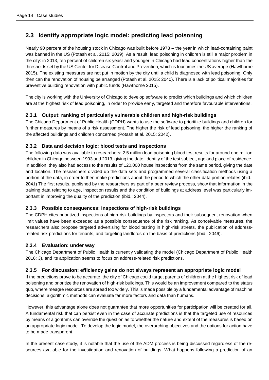### <span id="page-13-0"></span>**2.3 Identify appropriate logic model: predicting lead poisoning**

Nearly 90 percent of the housing stock in Chicago was built before 1978 – the year in which lead-containing paint was banned in the US (Potash et al. 2015: 2039). As a result, lead poisoning in children is still a major problem in the city: in 2013, ten percent of children six yeasr and younger in Chicago had lead concentrations higher than the thresholds set by the US Center for Disease Control and Prevention, which is four times the US average (Hawthorne 2015). The existing measures are not put in motion by the city until a child is diagnosed with lead poisoning. Only then can the renovation of housing be arranged (Potash et al. 2015: 2040). There is a lack of political majorities for preventive building renovation with public funds (Hawthorne 2015).

The city is working with the University of Chicago to develop software to predict which buildings and which children are at the highest risk of lead poisoning, in order to provide early, targeted and therefore favourable interventions.

### **2.3.1 Output: ranking of particularly vulnerable children and high-risk buildings**

The Chicago Department of Public Health (CDPH) wants to use the software to prioritize buildings and children for further measures by means of a risk assessment. The higher the risk of lead poisoning, the higher the ranking of the affected buildings and children concerned (Potash et al. 2015: 2042).

### **2.3.2 Data and decision logic: blood tests and inspections**

The following data was available to researchers: 2.5 million lead poisoning blood test results for around one million children in Chicago between 1993 and 2013, giving the date, identity of the test subject, age and place of residence. In addition, they also had access to the results of 120,000 house inspections from the same period, giving the date and location. The researchers divided up the data sets and programmed several classification methods using a portion of the data, in order to then make predictions about the period to which the other data portion relates (ibid.: 2041) The first results, published by the researchers as part of a peer review process, show that information in the training data relating to age, inspection results and the condition of buildings at address level was particularly important in improving the quality of the prediction (ibid.: 2044).

### **2.3.3 Possible consequences: inspections of high-risk buildings**

The CDPH cites prioritized inspections of high-risk buildings by inspectors and their subsequent renovation when limit values have been exceeded as a possible consequence of the risk ranking. As conceivable measures, the researchers also propose targeted advertising for blood testing in high-risk streets, the publication of addressrelated risk predictions for tenants, and targeting landlords on the basis of predictions (ibid.: 2046).

### **2.3.4 Evaluation: under way**

The Chicago Department of Public Health is currently validating the model (Chicago Department of Public Health 2016: 3), and its application seems to focus on address-related risk predictions.

### **2.3.5 For discussion: efficiency gains do not always represent an appropriate logic model**

If the predictions prove to be accurate, the city of Chicago could target parents of children at the highest risk of lead poisoning and prioritize the renovation of high-risk buildings. This would be an improvement compared to the status quo, where meagre resources are spread too widely. This is made possible by a fundamental advantage of machine decisions: algorithmic methods can evaluate far more factors and data than humans.

However, this advantage alone does not guarantee that more opportunities for participation will be created for all. A fundamental risk that can persist even in the case of accurate predictions is that the targeted use of resources by means of algorithms can override the question as to whether the nature and extent of the measures is based on an appropriate logic model. To develop the logic model, the overarching objectives and the options for action have to be made transparent.

In the present case study, it is notable that the use of the ADM process is being discussed regardless of the resources available for the investigation and renovation of buildings. What happens following a prediction of an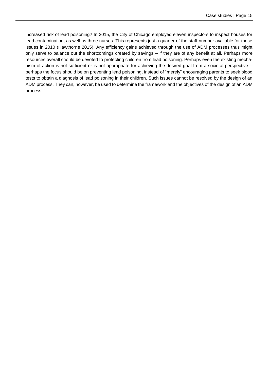increased risk of lead poisoning? In 2015, the City of Chicago employed eleven inspectors to inspect houses for lead contamination, as well as three nurses. This represents just a quarter of the staff number available for these issues in 2010 (Hawthorne 2015). Any efficiency gains achieved through the use of ADM processes thus might only serve to balance out the shortcomings created by savings – if they are of any benefit at all. Perhaps more resources overall should be devoted to protecting children from lead poisoning. Perhaps even the existing mechanism of action is not sufficient or is not appropriate for achieving the desired goal from a societal perspective – perhaps the focus should be on preventing lead poisoning, instead of "merely" encouraging parents to seek blood tests to obtain a diagnosis of lead poisoning in their children. Such issues cannot be resolved by the design of an ADM process. They can, however, be used to determine the framework and the objectives of the design of an ADM process.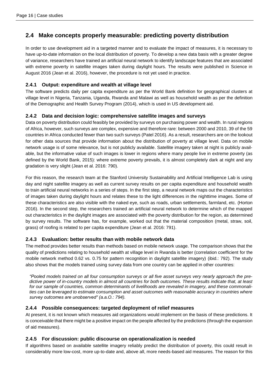### <span id="page-15-0"></span>**2.4 Make concepts properly measurable: predicting poverty distribution**

In order to use development aid in a targeted manner and to evaluate the impact of measures, it is necessary to have up-to-date information on the local distribution of poverty. To develop a new data basis with a greater degree of variance, researchers have trained an artificial neural network to identify landscape features that are associated with extreme poverty in satellite images taken during daylight hours. The results were published in Science in August 2016 (Jean et al. 2016), however, the procedure is not yet used in practice.

### **2.4.1 Output: expenditure and wealth at village level**

The software predicts daily per capita expenditure as per the World Bank definition for geographical clusters at village level in Nigeria, Tanzania, Uganda, Rwanda and Malawi as well as household wealth as per the definition of the Demographic and Health Survey Program (2014), which is used in US development aid.

### **2.4.2 Data and decision logic: comprehensive satellite images and surveys**

Data on poverty distribution could feasibly be provided by surveys on purchasing power and wealth. In rural regions of Africa, however, such surveys are complex, expensive and therefore rare: between 2000 and 2010, 39 of the 59 countries in Africa conducted fewer than two such surveys (Patel 2016). As a result, researchers are on the lookout for other data sources that provide information about the distribution of poverty at village level. Data on mobile network usage is of some relevance, but is not publicly available. Satellite imagery taken at night is publicly available, but the informative value of such images is lower in regions where many people live in extreme poverty (as defined by the World Bank, 2015): where extreme poverty prevails, it is almost completely dark at night and any gradation is very slight (Jean et al. 2016: 790).

For this reason, the research team at the Stanford University Sustainability and Artificial Intelligence Lab is using day and night satellite imagery as well as current survey results on per capita expenditure and household wealth to train artificial neural networks in a series of steps. In the first step, a neural network maps out the characteristics of images taken during daylight hours and relates these to the light differences in the nighttime images. Some of these characteristics are also visible with the naked eye, such as roads, urban settlements, farmland, etc. (Horton 2016). In the second step, the researchers trained an artificial neural network to determine which of the mapped out characteristics in the daylight images are associated with the poverty distribution for the region, as determined by survey results. The software has, for example, worked out that the material composition (metal, straw, soil, grass) of roofing is related to per capita expenditure (Jean et al. 2016: 791).

### **2.4.3 Evaluation: better results than with mobile network data**

The method provides better results than methods based on mobile network usage. The comparison shows that the quality of predictions relating to household wealth at village level in Rwanda is better (correlation coefficient for the mobile network method 0.62 vs. 0.75 for pattern recognition in daylight satellite imagery) (ibid.: 792). The study also shows that the models trained using survey data from one country can be applied in other countries:

*"Pooled models trained on all four consumption surveys or all five asset surveys very nearly approach the predictive power of in-country models in almost all countries for both outcomes. These results indicate that, at least for our sample of countries, common determinants of livelihoods are revealed in imagery, and these commonalities can be leveraged to estimate consumption and asset outcomes with reasonable accuracy in countries where survey outcomes are unobserved" (a.a.O.: 794).*

### **2.4.4 Possible consequences: targeted deployment of relief measures**

At present, it is not known which measures aid organizations would implement on the basis of these predictions. It is conceivable that there might be a positive impact on the people affected by the predictions (through the expansion of aid measures).

### **2.4.5 For discussion: public discourse on operationalization is needed**

If algorithms based on available satellite imagery reliably predict the distribution of poverty, this could result in considerably more low-cost, more up-to-date and, above all, more needs-based aid measures. The reason for this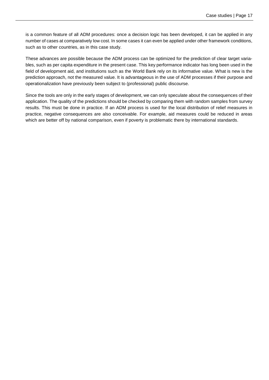is a common feature of all ADM procedures: once a decision logic has been developed, it can be applied in any number of cases at comparatively low cost. In some cases it can even be applied under other framework conditions, such as to other countries, as in this case study.

These advances are possible because the ADM process can be optimized for the prediction of clear target variables, such as per capita expenditure in the present case. This key performance indicator has long been used in the field of development aid, and institutions such as the World Bank rely on its informative value. What is new is the prediction approach, not the measured value. It is advantageous in the use of ADM processes if their purpose and operationalization have previously been subject to (professional) public discourse.

Since the tools are only in the early stages of development, we can only speculate about the consequences of their application. The quality of the predictions should be checked by comparing them with random samples from survey results. This must be done in practice. If an ADM process is used for the local distribution of relief measures in practice, negative consequences are also conceivable. For example, aid measures could be reduced in areas which are better off by national comparison, even if poverty is problematic there by international standards.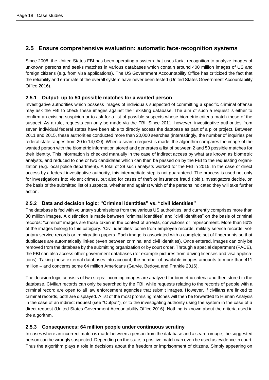### <span id="page-17-0"></span>**2.5 Ensure comprehensive evaluation: automatic face-recognition systems**

Since 2008, the United States FBI has been operating a system that uses facial recognition to analyze images of unknown persons and seeks matches in various databases which contain around 400 million images of US and foreign citizens (e.g. from visa applications). The US Government Accountability Office has criticized the fact that the reliability and error rate of the overall system have never been tested (United States Government Accountability Office 2016).

### **2.5.1 Output: up to 50 possible matches for a wanted person**

Investigative authorities which possess images of individuals suspected of committing a specific criminal offense may ask the FBI to check these images against their existing database. The aim of such a request is either to confirm an existing suspicion or to ask for a list of possible suspects whose biometric criteria match those of the suspect. As a rule, requests can only be made via the FBI. Since 2011, however, investigative authorities from seven individual federal states have been able to directly access the database as part of a pilot project. Between 2011 and 2015, these authorities conducted more than 20,000 searches (interestingly, the number of inquiries per federal state ranges from 20 to 14,000). When a search request is made, the algorithm compares the image of the wanted person with the biometric information stored and generates a list of between 2 and 50 possible matches for their identity. This information is checked manually in the case of indirect access by what are known as biometric analysts, and reduced to one or two candidates which can then be passed on by the FBI to the requesting organization (e.g. local police department). A total of 29 such analysts worked for the FBI in 2015. In the case of direct access by a federal investigative authority, this intermediate step is not guaranteed. The process is used not only for investigations into violent crimes, but also for cases of theft or insurance fraud (ibid.).Investigators decide, on the basis of the submitted list of suspects, whether and against which of the persons indicated they will take further action.

### **2.5.2 Data and decision logic: "Criminal identities" vs. "civil identities"**

The database is fed with voluntary submissions from the various US authorities, and currently comprises more than 30 million images. A distinction is made between "criminal identities" and "civil identities" on the basis of criminal records: "criminal" images are those taken in the context of arrests, convictions or imprisonment. More than 80% of the images belong to this category. "Civil identities" come from employee records, military service records, voluntary service records or immigration papers. Each image is associated with a complete set of fingerprints so that duplicates are automatically linked (even between criminal and civil identities). Once entered, images can only be removed from the database by the submitting organization or by court order. Through a special department (FACE), the FBI can also access other government databases (for example pictures from driving licenses and visa applications). Taking these external databases into account, the number of available images amounts to more than 411 million – and concerns some 64 million Americans (Garvie, Bedoya and Frankle 2016).

The decision logic consists of two steps: incoming images are analyzed for biometric criteria and then stored in the database. Civilian records can only be searched by the FBI, while requests relating to the records of people with a criminal record are open to all law enforcement agencies that submit images. However, if civilians are linked to criminal records, both are displayed. A list of the most promising matches will then be forwarded to Human Analysis in the case of an indirect request (see "Output"), or to the investigating authority using the system in the case of a direct request (United States Government Accountability Office 2016). Nothing is known about the criteria used in the algorithm.

### **2.5.3 Consequences: 64 million people under continuous scrutiny**

In cases where an incorrect match is made between a person from the database and a search image, the suggested person can be wrongly suspected. Depending on the state, a positive match can even be used as evidence in court. Thus the algorithm plays a role in decisions about the freedom or imprisonment of citizens. Simply appearing on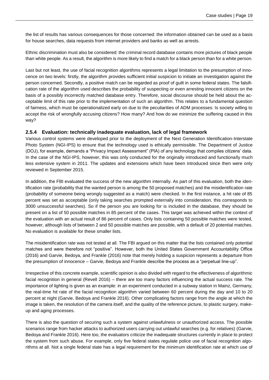the list of results has various consequences for those concerned: the information obtained can be used as a basis for house searches, data requests from internet providers and banks as well as arrests.

Ethnic discrimination must also be considered: the criminal record database contains more pictures of black people than white people. As a result, the algorithm is more likely to find a match for a black person than for a white person.

Last but not least, the use of facial recognition algorithms represents a legal limitation to the presumption of innocence on two levels: firstly, the algorithm provides sufficient initial suspicion to initiate an investigation against the person concerned. Secondly, a positive match can be regarded as proof of guilt in some federal states. The falsification rate of the algorithm used describes the probability of suspecting or even arresting innocent citizens on the basis of a possibly incorrectly matched database entry. Therefore, social discourse should be held about the acceptable limit of this rate prior to the implementation of such an algorithm. This relates to a fundamental question of fairness, which must be operationalized early on due to the peculiarities of ADM processes: Is society willing to accept the risk of wrongfully accusing citizens? How many? And how do we minimize the suffering caused in this way?

#### **2.5.4 Evaluation: technically inadequate evaluation, lack of legal framework**

Various control systems were developed prior to the deployment of the Next Generation Identification-Interstate Photo System (NGI-IPS) to ensure that the technology used is ethically permissible. The Department of Justice (DOJ), for example, demands a "Privacy Impact Assessment" (PIA) of any technology that compiles citizens' data. In the case of the NGI-IPS, however, this was only conducted for the originally introduced and functionally much less extensive system in 2011. The updates and extensions which have been introduced since then were only reviewed in September 2015.

In addition, the FBI evaluated the success of the new algorithm internally. As part of this evaluation, both the identification rate (probability that the wanted person is among the 50 proposed matches) and the misidentification rate (probability of someone being wrongly suggested as a match) were checked. In the first instance, a hit rate of 85 percent was set as acceptable (only taking searches prompted externally into consideration, this corresponds to 3000 unsuccessful searches). So if the person you are looking for is included in the database, they should be present on a list of 50 possible matches in 85 percent of the cases. This target was achieved within the context of the evaluation with an actual result of 86 percent of cases. Only lists containing 50 possible matches were tested, however, although lists of between 2 and 50 possible matches are possible, with a default of 20 potential matches. No evaluation is available for these smaller lists.

The misidentification rate was not tested at all. The FBI argued on this matter that the lists contained only potential matches and were therefore not "positive". However, both the United States Government Accountability Office (2016) and Garvie, Bedoya, and Frankle (2016) note that merely holding a suspicion represents a departure from the presumption of innocence – Garvie, Bedoya and Frankle describe the process as a "perpetual line-up".

Irrespective of this concrete example, scientific opinion is also divided with regard to the effectiveness of algorithmic facial recognition in general (Revell 2016) – there are too many factors influencing the actual success rate. The importance of lighting is given as an example: in an experiment conducted in a subway station in Mainz, Germany, the real-time hit rate of the facial recognition algorithm varied between 60 percent during the day and 10 to 20 percent at night (Garvie, Bedoya and Frankle 2016). Other complicating factors range from the angle at which the image is taken, the resolution of the camera itself, and the quality of the reference picture, to plastic surgery, makeup and aging processes.

There is also the question of securing such a system against unlawfulness or unauthorized access. The possible scenarios range from hacker attacks to authorized users carrying out unlawful searches (e.g. for relatives) (Garvie, Bedoya and Frankle 2016). Here too, the evaluators criticize the inadequate structures currently in place to protect the system from such abuse. For example, only five federal states regulate police use of facial recognition algorithms at all. Not a single federal state has a legal requirement for the minimum identification rate at which use of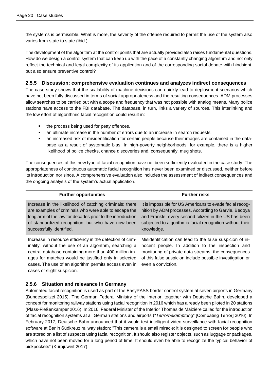the systems is permissible. What is more, the severity of the offense required to permit the use of the system also varies from state to state (ibid.).

The development of the algorithm at the control points that are actually provided also raises fundamental questions. How do we design a control system that can keep up with the pace of a constantly changing algorithm and not only reflect the technical and legal complexity of its application and of the corresponding social debate with hindsight, but also ensure preventive control?

### **2.5.5 Discussion: comprehensive evaluation continues and analyzes indirect consequences**

The case study shows that the scalability of machine decisions can quickly lead to deployment scenarios which have not been fully discussed in terms of social appropriateness and the resulting consequences. ADM processes allow searches to be carried out with a scope and frequency that was not possible with analog means. Many police stations have access to the FBI database. The database, in turn, links a variety of sources. This interlinking and the low effort of algorithmic facial recognition could result in:

- the process being used for petty offences.
- an ultimate increase in the number of errors due to an increase in search requests.
- an increased risk of misidentification for certain people because their images are contained in the database as a result of systematic bias. In high-poverty neighborhoods, for example, there is a higher likelihood of police checks, chance discoveries and, consequently, mug shots.

The consequences of this new type of facial recognition have not been sufficiently evaluated in the case study. The appropriateness of continuous automatic facial recognition has never been examined or discussed, neither before its introduction nor since. A comprehensive evaluation also includes the assessment of indirect consequences and the ongoing analysis of the system's actual application.

| <b>Further opportunities</b>                                                                                                                                                                                                                                                                                               | <b>Further risks</b>                                                                                                                                                                                                                                    |
|----------------------------------------------------------------------------------------------------------------------------------------------------------------------------------------------------------------------------------------------------------------------------------------------------------------------------|---------------------------------------------------------------------------------------------------------------------------------------------------------------------------------------------------------------------------------------------------------|
| Increase in the likelihood of catching criminals: there<br>are examples of criminals who were able to escape the<br>long arm of the law for decades prior to the introduction<br>of standardized recognition, but who have now been<br>successfully identified.                                                            | It is impossible for US Americans to evade facial recog-<br>nition by ADM processes. According to Garvie, Bedoya<br>and Frankle, every second citizen in the US has been<br>subjected to algorithmic facial recognition without their<br>knowledge.     |
| Increase in resource efficiency in the detection of crim-<br>inality: without the use of an algorithm, searching a<br>central database containing more than 400 million im-<br>ages for matches would be justified only in selected<br>cases. The use of an algorithm permits access even in<br>cases of slight suspicion. | Misidentification can lead to the false suspicion of in-<br>nocent people. In addition to the inspection and<br>monitoring of private data streams, the consequences<br>of this false suspicion include possible investigation or<br>even a conviction. |

### **2.5.6 Situation and relevance in Germany**

Automated facial recognition is used as part of the EasyPASS border control system at seven airports in Germany (Bundespolizei 2015). The German Federal Ministry of the Interior, together with Deutsche Bahn, developed a concept for monitoring railway stations using facial recognition in 2016 which has already been piloted in 20 stations (Plass-Fleßenkämper 2016). In 2016, Federal Minister of the Interior Thomas de Maizière called for the introduction of facial recognition systems at all German stations and airports ("*Terrorbekämpfung*" [Combating Terror] 2016). In February 2017, Deutsche Bahn announced that it would test intelligent video surveillance with facial recognition software at Berlin Südkreuz railway station: "This camera is a small miracle: it is designed to screen for people who are stored on a list of suspects using facial recognition. It should also register objects, such as luggage or packages, which have not been moved for a long period of time. It should even be able to recognize the typical behavior of pickpockets" (Kurpjuweit 2017).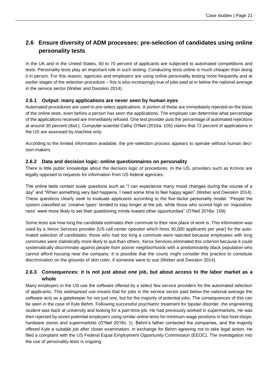### <span id="page-20-0"></span>**2.6 Ensure diversity of ADM processes: pre-selection of candidates using online personality tests**

In the UK and in the United States, 60 to 70 percent of applicants are subjected to automated competitions and tests. Personality tests play an important role in such testing. Conducting tests online is much cheaper than doing it in person. For this reason, agencies and employers are using online personality testing more frequently and at earlier stages of the selection procedure – this is also increasingly true of jobs paid at or below the national average in the service sector.(Weber and Dwoskin 2014).

### **2.6.1 Output: many applications are never seen by human eyes**

Automated procedures are used to pre-select applications. A portion of these are immediately rejected on the basis of the online tests, even before a person has seen the applications. The employer can determine what percentage of the applications received are immediately refused. One test provider puts the percentage of automated rejections at around 30 percent (ibid.). Computer scientist Cathy O'Neil (2016a: 105) claims that 72 percent of applications in the US are assessed by machine only.

According to the limited information available, the pre-selection process appears to operate without human decision-makers.

### **2.6.2 Data and decision logic: online questionnaires on personality**

There is little public knowledge about the decision logic of procedures. In the US, providers such as Kronos are legally opposed to requests for information from US federal agencies.

The online tests contain scale questions such as "I can experience many mood changes during the course of a day" and "When something very bad happens, I need some time to feel happy again" (Weber and Dwoskin 2014). These questions clearly seek to evaluate applicants according to the five-factor personality model. "People the system classified as 'creative types' tended to stay longer at the job, while those who scored high on 'inquisitiveness' were more likely to set their questioning minds toward other opportunities" (O'Neil 2016a: 109).

Some tests ask how long the candidate estimates their commute to their new place of work is. This information was used by a Xerox Services provider (US call center operator which hires 30,000 applicants per year) for the automated selection of candidates: those who had too long a commute were rejected because employees with long commutes were statistically more likely to quit than others. Xerox Services eliminated this criterion because it could systematically discriminate against people from poorer neighborhoods with a predominantly black population who cannot afford housing near the company. It is possible that the courts might consider this practice to constitute discrimination on the grounds of skin color, if someone were to sue (Weber and Dwoskin 2014).

### **2.6.3 Consequences: it is not just about** *one* **job, but about access to the labor market as a whole**

Many employers in the US use the software offered by a select few service providers for the automated selection of applicants. This widespread use means that for jobs in the service sector paid below the national average the software acts as a gatekeeper for not just one, but for the majority of potential jobs. The consequences of this can be seen in the case of Kyle Behm. Following successful psychiatric treatment for bipolar disorder, the engineering student was back at university and looking for a part-time job. He had previously worked in supermarkets. He was then rejected by seven potential employers using similar online tests for minimum-wage positions in fast food shops, hardware stores and supermarkets (O'Neil 2016c: 1). Behm's father contacted the companies, and the majority offered Kyle a suitable job after closer examination, in exchange for Behm agreeing not to take legal action. He filed a complaint with the US Federal Equal Employment Opportunity Commission (EEOC). The investigation into the use of personality tests is ongoing.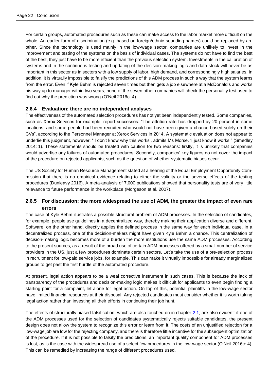For certain groups, automated procedures such as these can make access to the labor market more difficult on the whole. An earlier form of discrimination (e.g. based on foreign/ethnic-sounding names) could be replaced by another. Since the technology is used mainly in the low-wage sector, companies are unlikely to invest in the improvement and testing of the systems on the basis of individual cases. The systems do not have to find the best of the best, they just have to be more efficient than the previous selection system. Investments in the calibration of systems and in the continuous testing and updating of the decision-making logic and data stock will never be as important in this sector as in sectors with a low supply of labor, high demand, and correspondingly high salaries. In addition, it is virtually impossible to falsify the predictions of this ADM process in such a way that the system learns from the error. Even if Kyle Behm is rejected seven times but then gets a job elsewhere at a McDonald's and works his way up to manager within two years, none of the seven other companies will check the personality test used to find out why the prediction was wrong (O'Neil 2016c: 4).

### **2.6.4 Evaluation: there are no independent analyses**

The effectiveness of the automated selection procedures has not yet been independently tested. Some companies, such as Xerox Services for example, report successes: "The attrition rate has dropped by 20 percent in some locations, and some people had been recruited who would not have been given a chance based solely on their CVs", according to the Personnel Manager at Xerox Services in 2014. A systematic evaluation does not appear to underlie this judgment, however: "'I don't know why this works', admits Ms Morse, 'I just know it works'" (Smedley 2014: 1). These statements should be treated with caution for two reasons: firstly, it is unlikely that companies would advertise any failures of automated procedures. Secondly, companies' key figures do not cover the impact of the procedure on rejected applicants, such as the question of whether systematic biases occur.

The US Society for Human Resource Management stated at a hearing of the Equal Employment Opportunity Commission that there is no empirical evidence relating to either the validity or the adverse effects of the testing procedures (Dunleavy 2016). A meta-analysis of 7,000 publications showed that personality tests are of very little relevance to future performance in the workplace (Morgeson et al. 2007).

### **2.6.5 For discussion: the more widespread the use of ADM, the greater the impact of even rare errors**

The case of Kyle Behm illustrates a possible structural problem of ADM processes. In the selection of candidates, for example, people use guidelines in a decentralized way, thereby making their application diverse and different. Software, on the other hand, directly applies the defined process in the same way for each individual case. In a decentralized process, one of the decision-makers might have given Kyle Behm a chance. This centralization of decision-making logic becomes more of a burden the more institutions use the same ADM processes. According to the present sources, as a result of the broad use of certain ADM processes offered by a small number of service providers in the US, just a few procedures dominate certain sectors. Let's take the use of a pre-selection process in recruitment for low-paid service jobs, for example. This can make it virtually impossible for already marginalized groups to get past the first hurdle of the automated procedure.

At present, legal action appears to be a weal corrective instrument in such cases. This is because the lack of transparency of the procedures and decision-making logic makes it difficult for applicants to even begin finding a starting point for a complaint, let alone for legal action. On top of this, potential plaintiffs in the low-wage sector have limited financial resources at their disposal. Any rejected candidates must consider whether it is worth taking legal action rather than investing all their efforts in continuing their job hunt.

The effects of structurally biased falsification, which are also touched on in chapter [2.1,](#page-8-0) are also evident: if one of the ADM processes used for the selection of candidates systematically rejects suitable candidates, the present design does not allow the system to recognize this error or learn from it. The costs of an unjustified rejection for a low-wage job are low for the rejecting company, and there is therefore little incentive for the subsequent optimization of the procedure. If it is not possible to falsify the predictions, an important quality component for ADM processes is lost, as is the case with the widespread use of a select few procedures in the low-wage sector (O'Neil 2016c: 4). This can be remedied by increasing the range of different procedures used.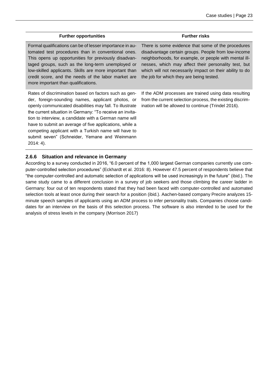| <b>Further opportunities</b>                                                                                                                                                                                                                                                                                                                                                                                                                                                   | <b>Further risks</b>                                                                                                                                                                                                                                                                                                                |
|--------------------------------------------------------------------------------------------------------------------------------------------------------------------------------------------------------------------------------------------------------------------------------------------------------------------------------------------------------------------------------------------------------------------------------------------------------------------------------|-------------------------------------------------------------------------------------------------------------------------------------------------------------------------------------------------------------------------------------------------------------------------------------------------------------------------------------|
| Formal qualifications can be of lesser importance in au-<br>tomated test procedures than in conventional ones.<br>This opens up opportunities for previously disadvan-<br>taged groups, such as the long-term unemployed or<br>low-skilled applicants. Skills are more important than<br>credit score, and the needs of the labor market are<br>more important than qualifications.                                                                                            | There is some evidence that some of the procedures<br>disadvantage certain groups. People from low-income<br>neighborhoods, for example, or people with mental ill-<br>nesses, which may affect their personality test, but<br>which will not necessarily impact on their ability to do<br>the job for which they are being tested. |
| Rates of discrimination based on factors such as gen-<br>der, foreign-sounding names, applicant photos, or<br>openly communicated disabilities may fall. To illustrate<br>the current situation in Germany: "To receive an invita-<br>tion to interview, a candidate with a German name will<br>have to submit an average of five applications, while a<br>competing applicant with a Turkish name will have to<br>submit seven" (Schneider, Yemane and Weinmann<br>$2014:4$ . | If the ADM processes are trained using data resulting<br>from the current selection process, the existing discrim-<br>ination will be allowed to continue (Trindel 2016).                                                                                                                                                           |

#### **2.6.6 Situation and relevance in Germany**

According to a survey conducted in 2016, "6.0 percent of the 1,000 largest German companies currently use computer-controlled selection procedures" (Eckhardt et al. 2016: 8). However 47.5 percent of respondents believe that "the computer-controlled and automatic selection of applications will be used increasingly in the future" (ibid.). The same study came to a different conclusion in a survey of job seekers and those climbing the career ladder in Germany: four out of ten respondents stated that they had been faced with computer-controlled and automated selection tools at least once during their search for a position (ibid.). Aachen-based company Precire analyzes 15 minute speech samples of applicants using an ADM process to infer personality traits. Companies choose candidates for an interview on the basis of this selection process. The software is also intended to be used for the analysis of stress levels in the company (Morrison 2017)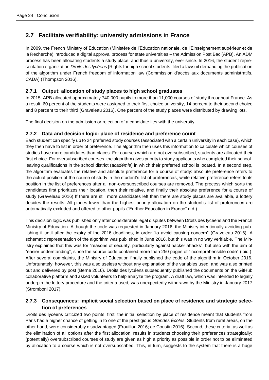### <span id="page-23-0"></span>**2.7 Facilitate verifiability: university admissions in France**

In 2009, the French Ministry of Education (Ministère de l'Education nationale, de l'Einseignement supérieur et de la Recherche) introduced a digital approval process for state universities – the Admission Post Bac (APB). An ADM process has been allocating students a study place, and thus a university, ever since. In 2016, the student representation organization *Droits des lycéens* [Rights for high school students] filed a lawsuit demanding the publication of the algorithm under French freedom of information law (Commission d'accès aux documents administratifs, CADA) (Thompson 2016).

### **2.7.1 Output: allocation of study places to high school graduates**

In 2015, APB allocated approximately 740,000 pupils to more than 11,000 courses of study throughout France. As a result, 60 percent of the students were assigned to their first-choice university, 14 percent to their second choice and 8 percent to their third (Graveleau 2016). One percent of the study places were distributed by drawing lots.

The final decision on the admission or rejection of a candidate lies with the university.

### **2.7.2 Data and decision logic: place of residence and preference count**

Each student can specify up to 24 preferred study courses (associated with a certain university in each case), which they then have to list in order of preference. The algorithm then uses this information to calculate which courses of studies have more candidates than places. For courses which are not oversubscribed, students are allocated their first choice. For oversubscribed courses, the algorithm gives priority to study applicants who completed their schoolleaving qualifications in the school district (*académie*) in which their preferred school is located. In a second step, the algorithm evaluates the relative and absolute preference for a course of study: absolute preference refers to the actual position of the course of study in the student's list of preferences, while relative preference refers to its position in the list of preferences after all non-oversubscribed courses are removed. The process which sorts the candidates first prioritizes their location, then their relative, and finally their absolute preference for a course of study (Graveleau 2016) If there are still more candidates left than there are study places are available, a lottery decides the results. All places lower than the highest priority allocation on the student's list of preferences are automatically excluded and offered to other pupils ("Further Education in France" n.d.).

This decision logic was published only after considerable legal disputes between Droits des lycéens and the French Ministry of Education. Although the code was requested in January 2016, the Ministry intentionally avoiding publishing it until after the expiry of the 2016 deadlines, in order "to avoid causing concern" (Graveleau 2016). A schematic representation of the algorithm was published in June 2016, but this was in no way verifiable. The Ministry explained that this was for "reasons of security, particularly against hacker attacks", but also with the aim of "easier understanding", since the source code contained more than 250 pages of "incomprehensible code" (ibid.). After several complaints, the Ministry of Education finally published the code of the algorithm in October 2016. Unfortunately, however, this was also useless without any explanation of the variables used, and was also printed out and delivered by post (Berne 2016). Droits des lycéens subsequently published the documents on the GitHub collaborative platform and asked volunteers to help analyze the program. A draft law, which was intended to legally underpin the lottery procedure and the criteria used, was unexpectedly withdrawn by the Ministry in January 2017 (Stromboni 2017).

### **2.7.3 Consequences: implicit social selection based on place of residence and strategic selection of preferences**

Droits des lycéens criticized two points: first, the initial selection by place of residence meant that students from Paris had a higher chance of getting in to one of the prestigious *Grandes Écoles*. Students from rural areas, on the other hand, were considerably disadvantaged (Frouillou 2016; de Coustin 2016). Second, these criteria, as well as the elimination of all options after the first allocation, results in students choosing their preferences strategically: (potentially) oversubscribed courses of study are given as high a priority as possible in order not to be eliminated by allocation to a course which is not oversubscribed. This, in turn, suggests to the system that there is a huge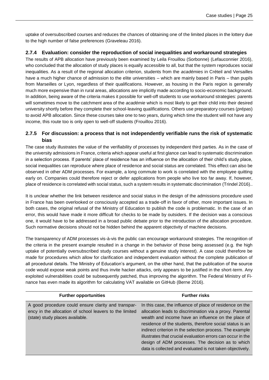uptake of oversubscribed courses and reduces the chances of obtaining one of the limited places in the lottery due to the high number of false preferences (Graveleau 2016).

### **2.7.4 Evaluation: consider the reproduction of social inequalities and workaround strategies**

The results of APB allocation have previously been examined by Leila Frouillou (Sorbonne) (Lefauconnier 2016), who concluded that the allocation of study places is equally accessible to all, but that the system reproduces social inequalities. As a result of the regional allocation criterion, students from the *académies* in Créteil and Versailles have a much higher chance of admission to the elite universities – which are mainly based in Paris – than pupils from Marseilles or Lyon, regardless of their qualifications. However, as housing in the Paris region is generally much more expensive than in rural areas, allocations are implicitly made according to socio-economic background. In addition, being aware of the criteria makes it possible for well-off students to use workaround strategies: parents will sometimes move to the catchment area of the *académie* which is most likely to get their child into their desired university shortly before they complete their school-leaving qualifications. Others use preparatory courses (*prépas*) to avoid APB allocation. Since these courses take one to two years, during which time the student will not have any income, this route too is only open to well-off students (Frouillou 2016).

### **2.7.5 For discussion: a process that is not independently verifiable runs the risk of systematic bias**

The case study illustrates the value of the verifiability of processes by independent third parties. As in the case of the university admissions in France, criteria which appear useful at first glance can lead to systematic discrimination in a selection process. If parents' place of residence has an influence on the allocation of their child's study place, social inequalities can reproduce where place of residence and social status are correlated. This effect can also be observed in other ADM processes. For example, a long commute to work is correlated with the employee quitting early on. Companies could therefore reject or defer applications from people who live too far away. If, however, place of residence is correlated with social status, such a system results in systematic discrimination (Trindel 2016)..

It is unclear whether the link between residence and social status in the design of the admissions procedure used in France has been overlooked or consciously accepted as a trade-off in favor of other, more important issues. In both cases, the original refusal of the Ministry of Education to publish the code is problematic. In the case of an error, this would have made it more difficult for checks to be made by outsiders. If the decision was a conscious one, it would have to be addressed in a broad public debate prior to the introduction of the allocation procedure. Such normative decisions should not be hidden behind the apparent objectivity of machine decisions.

The transparency of ADM processes vis-à-vis the public can encourage workaround strategies. The recognition of the criteria in the present example resulted in a change in the behavior of those being assessed (e.g. the high uptake of potentially oversubscribed study courses without a genuine study interest). A case could therefore be made for procedures which allow for clarification and independent evaluation without the complete publication of all procedural details. The Ministry of Education's argument, on the other hand, that the publication of the source code would expose weak points and thus invite hacker attacks, only appears to be justified in the short-term. Any exploited vulnerabilities could be subsequently patched, thus improving the algorithm. The Federal Ministry of Finance has even made its algorithm for calculating VAT available on GitHub (Berne 2016).

| <b>Further opportunities</b>                                                                                                                      | <b>Further risks</b>                                                                                                                                                                                                                                                                                                                                                                                                                                                                 |
|---------------------------------------------------------------------------------------------------------------------------------------------------|--------------------------------------------------------------------------------------------------------------------------------------------------------------------------------------------------------------------------------------------------------------------------------------------------------------------------------------------------------------------------------------------------------------------------------------------------------------------------------------|
| A good procedure could ensure clarity and transpar-<br>ency in the allocation of school leavers to the limited<br>(state) study places available. | In this case, the influence of place of residence on the<br>allocation leads to discrimination via a proxy. Parental<br>wealth and income have an influence on the place of<br>residence of the students, therefore social status is an<br>indirect criterion in the selection process. The example<br>illustrates that crucial evaluation errors can occur in the<br>design of ADM processes. The decision as to which<br>data is collected and evaluated is not taken objectively. |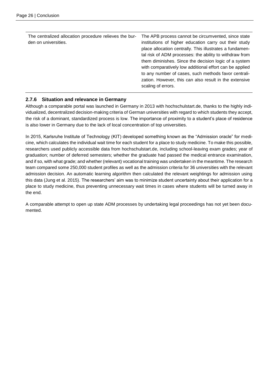| The centralized allocation procedure relieves the bur-<br>den on universities. | The APB process cannot be circumvented, since state<br>institutions of higher education carry out their study<br>place allocation centrally. This illustrates a fundamen-<br>tal risk of ADM processes: the ability to withdraw from<br>them diminishes. Since the decision logic of a system<br>with comparatively low additional effort can be applied<br>to any number of cases, such methods favor centrali-<br>zation. However, this can also result in the extensive<br>scaling of errors. |
|--------------------------------------------------------------------------------|--------------------------------------------------------------------------------------------------------------------------------------------------------------------------------------------------------------------------------------------------------------------------------------------------------------------------------------------------------------------------------------------------------------------------------------------------------------------------------------------------|
|--------------------------------------------------------------------------------|--------------------------------------------------------------------------------------------------------------------------------------------------------------------------------------------------------------------------------------------------------------------------------------------------------------------------------------------------------------------------------------------------------------------------------------------------------------------------------------------------|

### **2.7.6 Situation and relevance in Germany**

Although a comparable portal was launched in Germany in 2013 with hochschulstart.de, thanks to the highly individualized, decentralized decision-making criteria of German universities with regard to which students they accept, the risk of a dominant, standardized process is low. The importance of proximity to a student's place of residence is also lower in Germany due to the lack of local concentration of top universities.

In 2015, Karlsruhe Institute of Technology (KIT) developed something known as the "Admission oracle" for medicine, which calculates the individual wait time for each student for a place to study medicine. To make this possible, researchers used publicly accessible data from hochschulstart.de, including school-leaving exam grades; year of graduation; number of deferred semesters; whether the graduate had passed the medical entrance examination, and if so, with what grade; and whether (relevant) vocational training was undertaken in the meantime. The research team compared some 250,000 student profiles as well as the admission criteria for 36 universities with the relevant admission decision. An automatic learning algorithm then calculated the relevant weightings for admission using this data (Jung et al. 2015). The researchers' aim was to minimize student uncertainty about their application for a place to study medicine, thus preventing unnecessary wait times in cases where students will be turned away in the end.

A comparable attempt to open up state ADM processes by undertaking legal proceedings has not yet been documented.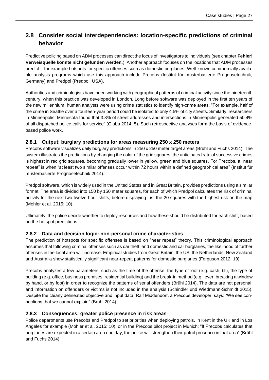### <span id="page-26-0"></span>**2.8 Consider social interdependencies: location-specific predictions of criminal behavior**

Predictive policing based on ADM processes can direct the focus of investigators to individuals (see chapter **Fehler! Verweisquelle konnte nicht gefunden werden.**). Another approach focuses on the locations that ADM processes predict – for example hotspots for specific offenses such as domestic burglaries. Well-known commercially available analysis programs which use this approach include Precobs (Institut für musterbasierte Prognosetechnik, Germany) and Predpol (Predpol, USA).

Authorities and criminologists have been working with geographical patterns of criminal activity since the nineteenth century, when this practice was developed in London. Long before software was deployed in the first ten years of the new millennium, human analysts were using crime statistics to identify high-crime areas. "For example, half of the crime in Seattle over a fourteen-year period could be isolated to only 4.5% of city streets. Similarly, researchers in Minneapolis, Minnesota found that 3.3% of street addresses and intersections in Minneapolis generated 50.4% of all dispatched police calls for service" (Gluba 2014: 5). Such retrospective analyses form the basis of evidencebased police work.

### **2.8.1 Output: burglary predictions for areas measuring 250 x 250 meters**

Precobs software visualizes daily burglary predictions in 250 x 250 meter target areas (Brühl and Fuchs 2014). The system illustrates the predictions by changing the color of the grid squares: the anticipated rate of successive crimes is highest in red grid squares, becoming gradually lower in yellow, green and blue squares. For Precobs, a "near repeat" is when "at least two similar offenses occur within 72 hours within a defined geographical area" (Institut für musterbasierte Prognosetechnik 2014).

Predpol software, which is widely used in the United States and in Great Britain, provides predictions using a similar format. The area is divided into 150 by 150 meter squares, for each of which Predpol calculates the risk of criminal activity for the next two twelve-hour shifts, before displaying just the 20 squares with the highest risk on the map (Mohler et al. 2015: 10).

Ultimately, the police decide whether to deploy resources and how these should be distributed for each shift, based on the hotspot predictions.

#### **2.8.2 Data and decision logic: non-personal crime characteristics**

The prediction of hotspots for specific offenses is based on "near repeat" theory. This criminological approach assumes that following criminal offenses such as car theft, and domestic and car burglaries, the likelihood of further offenses in the local area will increase. Empirical studies from Great Britain, the US, the Netherlands, New Zealand and Australia show statistically significant near-repeat patterns for domestic burglaries (Ferguson 2012: 19).

Precobs analyzes a few parameters, such as the time of the offense, the type of loot (e.g. cash, till), the type of building (e.g. office, business premises, residential building) and the break-in method (e.g. lever, breaking a window by hand, or by foot) in order to recognize the patterns of serial offenders (Brühl 2014). The data are not personal, and information on offenders or victims is not included in the analysis (Schindler und Wiedmann-Schmidt 2015). Despite the clearly delineated objective and input data, Ralf Middendorf, a Precobs developer, says: "We see connections that we cannot explain" (Brühl 2014).

#### **2.8.3 Consequences: greater police presence in risk areas**

Police departments use Precobs and Predpol to set priorities when deploying patrols. In Kent in the UK and in Los Angeles for example (Mohler et al. 2015: 10), or in the Precobs pilot project in Munich: "If Precobs calculates that burglaries are expected in a certain area one day, the police will strengthen their patrol presence in that area" (Brühl and Fuchs 2014).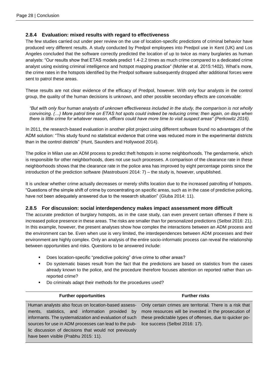### **2.8.4 Evaluation: mixed results with regard to effectiveness**

The few studies carried out under peer review on the use of location-specific predictions of criminal behavior have produced very different results. A study conducted by Predpol employees into Predpol use in Kent (UK) and Los Angeles concluded that the software correctly predicted the location of up to twice as many burglaries as human analysts: "Our results show that ETAS models predict 1.4-2.2 times as much crime compared to a dedicated crime analyst using existing criminal intelligence and hotspot mapping practice" (Mohler et al. 2015:1402). What's more, the crime rates in the hotspots identified by the Predpol software subsequently dropped after additional forces were sent to patrol these areas.

These results are not clear evidence of the efficacy of Predpol, however. With only four analysts in the control group, the quality of the human decisions is unknown, and other possible secondary effects are conceivable:

*"But with only four human analysts of unknown effectiveness included in the study, the comparison is not wholly convincing. (…) More patrol time on ETAS hot spots could indeed be reducing crime; then again, on days when there is little crime for whatever reason, officers could have more time to visit suspect areas" (Perkowitz 2016).*

In 2011, the research-based evaluation in another pilot project using different software found no advantages of the ADM solution: "This study found no statistical evidence that crime was reduced more in the experimental districts than in the control districts" (Hunt, Saunders and Hollywood 2014).

The police in Milan use an ADM process to predict theft hotspots in some neighborhoods. The gendarmerie, which is responsible for other neighborhoods, does not use such processes. A comparison of the clearance rate in these neighborhoods shows that the clearance rate in the police area has improved by eight percentage points since the introduction of the prediction software (Mastrobuoni 2014: 7) – the study is, however, unpublished.

It is unclear whether crime actually decreases or merely shifts location due to the increased patrolling of hotspots. "Questions of the simple shift of crime by concentrating on specific areas, such as in the case of predictive policing, have not been adequately answered due to the research situation" (Gluba 2014: 11).

### **2.8.5 For discussion: social interdependency makes impact assessment more difficult**

The accurate prediction of burglary hotspots, as in the case study, can even prevent certain offenses if there is increased police presence in these areas. The risks are smaller than for personalized predictions (Selbst 2016: 21). In this example, however, the present analyses show how complex the interactions between an ADM process and the environment can be. Even when use is very limited, the interdependences between ADM processes and their environment are highly complex. Only an analysis of the entire socio-informatic process can reveal the relationship between opportunities and risks. Questions to be answered include:

- Does location-specific "predictive policing" drive crime to other areas?
- Do systematic biases result from the fact that the predictions are based on statistics from the cases already known to the police, and the procedure therefore focuses attention on reported rather than unreported crime?
- Do criminals adapt their methods for the procedures used?

| <b>Further opportunities</b>                           | <b>Further risks</b>                                                                                          |
|--------------------------------------------------------|---------------------------------------------------------------------------------------------------------------|
| informants. The systematization and evaluation of such | Human analysts also focus on location-based assess- Only certain crimes are territorial. There is a risk that |
| sources for use in ADM processes can lead to the pub-  | ments, statistics, and information provided by more resources will be invested in the prosecution of          |
| lic discussion of decisions that would not previously  | these predictable types of offenses, due to quicker po-                                                       |
| have been visible (Prabhu 2015: 11).                   | lice success (Selbst 2016: 17).                                                                               |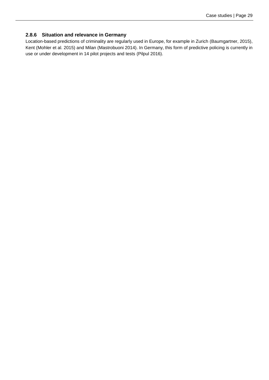#### **2.8.6 Situation and relevance in Germany**

Location-based predictions of criminality are regularly used in Europe, for example in Zurich (Baumgartner, 2015), Kent (Mohler et al. 2015) and Milan (Mastrobuoni 2014). In Germany, this form of predictive policing is currently in use or under development in 14 pilot projects and tests (Pilpul 2016).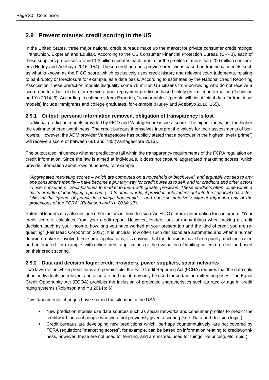### <span id="page-29-0"></span>**2.9 Prevent misuse: credit scoring in the US**

In the United States, three major national credit bureaus make up the market for private consumer credit ratings: TransUnion, Experian and Equifax. According to the US Consumer Financial Protection Bureau (CFPB), each of these suppliers processes around 1.3 billion updates each month for the profiles of more than 200 million consumers (Hurley and Adebayo 2016: 154). These credit bureaus provide predictions based on traditional models such as what is known as the FICO score, which exclusively uses credit history and relevant court judgments, relating to bankruptcy or foreclosure for example, as a data basis. According to estimates by the National Credit Reporting Association, these prediction models disqualify some 70 million US citizens from borrowing who do not receive a score due to a lack of data, or receive a poor repayment prediction based solely on limited information (Robinson and Yu 2014: 6). According to estimates from Experian, "unscoreables" (people with insufficient data for traditional models) include immigrants and college graduates, for example (Hurley and Adebayo 2016: 155).

### **2.9.1 Output: personal information removed, obligation of transparency is lost**

Traditional prediction models provided by FICO and Vantagescore issue a score. The higher the value, the higher the estimate of creditworthiness. The credit bureaus themselves interpret the values for their assessments of borrowers. However, the ADM provider Vantagescore has publicly stated that a borrower in the highest level ("prime") will receive a score of between 661 and 780 (Vantagescore 2013).

The output also influences whether predictions fall within the transparency requirements of the FCRA regulation on credit information. Since the law is aimed at individuals, it does not capture aggregated marketing scores, which provide information about rows of houses, for example.

*"Aggregated marketing scores – which are computed on a household or block level, and arguably not tied to any one consumer's identity – have become a primary way for credit bureaus to sell, and for creditors and other actors to use, consumers' credit histories to market to them with greater precision. These products often come within a hair's breadth of identifying a person. (…) In other words, it provides detailed insight into the financial characteristics of the 'group' of people in a single household – and does so putatively without triggering any of the protections of the FCRA" (Robinson and Yu 2014: 17).*

Potential lenders may also include other factors in their decision. As FICO states in information for customers: "Your credit score is calculated from your credit report. However, lenders look at many things when making a credit decision, such as your income, how long you have worked at your present job and the kind of credit you are requesting" (Fair Isaac Corporation 2017). It is unclear how often such decisions are automated and when a human decision-maker is involved. For some applications, it is obvious that the decisions have been purely machine-based and automated: for example, with online credit applications or the evaluation of waiting callers on a hotline based on their credit scoring.

### <span id="page-29-1"></span>**2.9.2 Data and decision logic: credit providers, power suppliers, social networks**

Two laws define which predictions are permissible: the Fair Credit Reporting Act (FCRA) requires that the data sold about individuals be relevant and accurate and that it may only be used for certain permitted purposes. The Equal Credit Opportunity Act (ECOA) prohibits the inclusion of protected characteristics such as race or age in credit rating systems (Robinson and Yu 2014b: 6).

Two fundamental changes have shaped the situation in the USA:

- New prediction models use data sources such as social networks and consumer profiles to predict the creditworthiness of people who were not previously given a scoring (see: [Data and decision logic:\)](#page-29-1).
- Credit bureaus are developing new predictions which, perhaps counterintuitively, are not covered by FCRA regulation: "marketing scores", for example, can be based on information relating to creditworthiness, however, these are not used for lending, and are instead used for things like pricing, etc. (ibid.).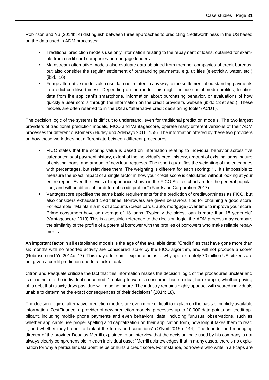Robinson and Yu (2014b: 4) distinguish between three approaches to predicting creditworthiness in the US based on the data used in ADM processes:

- Traditional prediction models use only information relating to the repayment of loans, obtained for example from credit card companies or mortgage lenders.
- Mainstream alternative models also evaluate data obtained from member companies of credit bureaus, but also consider the regular settlement of outstanding payments, e.g. utilities (electricity, water, etc.) (ibid.: 10)
- Fringe alternative models also use data not related in any way to the settlement of outstanding payments to predict creditworthiness. Depending on the model, this might include social media profiles, location data from the applicant's smartphone, information about purchasing behavior, or evaluations of how quickly a user scrolls through the information on the credit provider's website (ibid.: 13 et seq.). These models are often referred to in the US as "alternative credit decisioning tools" (ACDT).

The decision logic of the systems is difficult to understand, even for traditional prediction models. The two largest providers of traditional prediction models, FICO and Vantagescore, operate many different versions of their ADM processes for different customers (Hurley und Adebayo 2016: 155). The information offered by these two providers on how these work does not differentiate between different procedures.

- FICO states that the scoring value is based on information relating to individual behavior across five categories: past payment history, extent of the individual's credit history, amount of existing loans, nature of existing loans, and amount of new loan requests. The report quantifies the weighting of the categories with percentages, but relativises them. The weighting is different for each scoring: "… it's impossible to measure the exact impact of a single factor in how your credit score is calculated without looking at your entire report. Even the levels of importance shown in the FICO Scores chart are for the general population, and will be different for different credit profiles" (Fair Isaac Corporation 2017).
- Vantagescore specifies the same basic requirements for the prediction of creditworthiness as FICO, but also considers exhausted credit lines. Borrowers are given behavioral tips for obtaining a good score. For example: "Maintain a mix of accounts (credit cards, auto, mortgage) over time to improve your score. Prime consumers have an average of 13 loans. Typically the oldest loan is more than 15 years old" (Vantagescore 2013) This is a possible reference to the decision logic: the ADM process may compare the similarity of the profile of a potential borrower with the profiles of borrowers who make reliable repayments.

An important factor in all established models is the age of the available data: "Credit files that have gone more than six months with no reported activity are considered 'stale' by the FICO algorithm, and will not produce a score" (Robinson und Yu 2014c: 17). This may offer some explanation as to why approximately 70 million US citizens are not given a credit prediction due to a lack of data.

Citron and Pasquale criticize the fact that this information makes the decision logic of the procedures unclear and is of no help to the individual concerned: "Looking forward, a consumer has no idea, for example, whether paying off a debt that is sixty days past due will raise her score. The industry remains highly opaque, with scored individuals unable to determine the exact consequences of their decisions" (2014: 18).

The decision logic of alternative prediction models are even more difficult to explain on the basis of publicly available information. ZestFinance, a provider of new prediction models, processes up to 10,000 data points per credit applicant, including mobile phone payments and even behavioral data, including "unusual observations, such as whether applicants use proper spelling and capitalization on their application form, how long it takes them to read it, and whether they bother to look at the terms and conditions" (O'Neil 2016a: 144). The founder and managing director of the provider Douglas Merrill explained in an interview that the decision logic used by his company is not always clearly comprehensible in each individual case: "Merrill acknowledges that in many cases, there's no explanation for why a particular data point helps or hurts a credit score. For instance, borrowers who write in all-caps are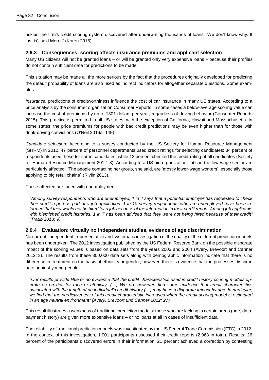riskier, the firm's credit scoring system discovered after underwriting thousands of loans. 'We don't know why. It just is', said Merrill" (Koren 2015).

#### **2.9.3 Consequences: scoring affects insurance premiums and applicant selection**

Many US citizens will not be granted loans – or will be granted only very expensive loans – because their profiles do not contain sufficient data for predictions to be made.

This situation may be made all the more serious by the fact that the procedures originally developed for predicting the default probability of loans are also used as indirect indicators for altogether separate questions. Some examples:

*Insurance:* predictions of creditworthiness influence the cost of car insurance in many US states. According to a price analysis by the consumer organization Consumer Reports, in some cases a below-average scoring value can increase the cost of premiums by up to 1301 dollars per year, regardless of driving behavior (Consumer Reports 2015). This practice is permitted in all US states, with the exception of California, Hawaii and Massachusetts. In some states, the price premiums for people with bad credit predictions may be even higher than for those with drink-driving convictions (O'Neil 2016a: 149).

*Candidate selection:* According to a survey conducted by the US Society for Human Resource Management (SHRM) in 2012, 47 percent of personnel departments used credit ratings for selecting candidates: 34 percent of respondents used these for some candidates, while 13 percent checked the credit rating of all candidates (Society for Human Resource Management 2012: 8). According to a US aid organization, jobs in the low-wage sector are particularly affected: "The people contacting her group, she said, are 'mostly lower-wage workers', especially those applying to big retail chains" (Rivlin 2013).

Those affected are faced with unemployment:

*"Among survey respondents who are unemployed, 1 in 4 says that a potential employer has requested to check their credit report as part of a job application. 1 in 10 survey respondents who are unemployed have been informed that they would not be hired for a job because of the information in their credit report. Among job applicants*  with blemished credit histories, 1 in 7 has been advised that they were not being hired because of their credit" *(Traub 2013: 9).*

#### **2.9.4 Evaluation: virtually no independent studies, evidence of age discrimination**

No current, independent, representative and systematic investigation of the quality of the different prediction models has been undertaken. The 2012 investigation published by the US Federal Reserve Bank on the possible disparate impact of the scoring values is based on data sets from the years 2003 and 2004 (Avery, Brevoort and Canner 2012: 3). The results from these 300,000 data sets along with demographic information indicate that there is no difference in treatment on the basis of ethnicity or gender, however, there is evidence that the processes discriminate against young people:

*"Our results provide little or no evidence that the credit characteristics used in credit history scoring models operate as proxies for race or ethnicity. (…) We do, however, find some evidence that credit characteristics associated with the length of an individual's credit history (…) may have a disparate impact by age. In particular,*  we find that the predictiveness of this credit characteristic increases when the credit scoring model is estimated *in an age neutral environment" (Avery, Brevoort und Canner 2012: 27).*

This result illustrates a weakness of traditional prediction models: those who are lacking in certain areas (age, data, payment history) are given more expensive loans – or no loans at all in cases of insufficient data.

The reliability of traditional prediction models was investigated by the US Federal Trade Commission (FTC) in 2012. In the context of this investigation, 1,001 participants assessed their credit reports (2,968 in total). Results: 26 percent of the participants discovered errors in their information; 21 percent achieved a correction by contesting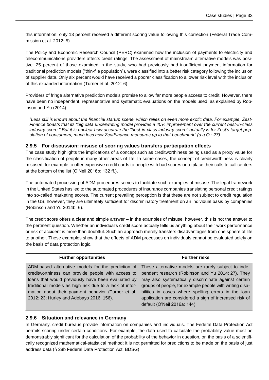this information; only 13 percent received a different scoring value following this correction (Federal Trade Commission et al. 2012: 5).

The Policy and Economic Research Council (PERC) examined how the inclusion of payments to electricity and telecommunications providers affects credit ratings. The assessment of mainstream alternative models was positive. 25 percent of those examined in the study, who had previously had insufficient payment information for traditional prediction models ("thin-file population"), were classified into a better risk category following the inclusion of supplier data. Only six percent would have received a poorer classification to a lower risk level with the inclusion of this expanded information (Turner et al. 2012: 6).

Providers of fringe alternative prediction models promise to allow far more people access to credit. However, there have been no independent, representative and systematic evaluations on the models used, as explained by Robinson and Yu (2014):

*"Less still is known about the financial startup scene, which relies on even more exotic data. For example, Zest-Finance boasts that its "big data underwriting model provides a 40% improvement over the current best-in-class industry score." But it is unclear how accurate the "best-in-class industry score" actually is for Zest's target population of consumers, much less how ZestFinance measures up to that benchmark" (a.a.O.: 27).*

#### **2.9.5 For discussion: misuse of scoring values transfers participation effects**

The case study highlights the implications of a concept such as creditworthiness being used as a proxy value for the classification of people in many other areas of life. In some cases, the concept of creditworthiness is clearly misused, for example to offer expensive credit cards to people with bad scores or to place their calls to call centers at the bottom of the list (O'Neil 2016b: 132 ff.).

The automated processing of ADM procedures serves to facilitate such examples of misuse. The legal framework in the United States has led to the automated procedures of insurance companies translating personal credit ratings into so-called marketing scores. The current prevailing perception is that these are not subject to credit regulation in the US, however, they are ultimately sufficient for discriminatory treatment on an individual basis by companies (Robinson and Yu 2014b: 6).

The credit score offers a clear and simple answer – in the examples of misuse, however, this is not the answer to the pertinent question. Whether an individual's credit score actually tells us anything about their work performance or risk of accident is more than doubtful. Such an approach merely transfers disadvantages from one sphere of life to another. These examples show that the effects of ADM processes on individuals cannot be evaluated solely on the basis of data protection logic.

| <b>Further opportunities</b>                            | <b>Further risks</b>                                                                                    |
|---------------------------------------------------------|---------------------------------------------------------------------------------------------------------|
|                                                         | ADM-based alternative models for the prediction of These alternative models are rarely subject to inde- |
| creditworthiness can provide people with access to      | pendent research (Robinson and Yu 2014: 27). They                                                       |
| loans that would previously have been evaluated by      | may also systematically discriminate against certain                                                    |
| traditional models as high risk due to a lack of infor- | groups of people, for example people with writing disa-                                                 |
| mation about their payment behavior (Turner et al.      | bilities in cases where spelling errors in the loan                                                     |
| 2012: 23; Hurley and Adebayo 2016: 156).                | application are considered a sign of increased risk of                                                  |
|                                                         | default (O'Neil 2016a: 144).                                                                            |

#### **2.9.6 Situation and relevance in Germany**

In Germany, credit bureaus provide information on companies and individuals. The Federal Data Protection Act permits scoring under certain conditions. For example, the data used to calculate the probability value must be demonstrably significant for the calculation of the probability of the behavior in question, on the basis of a scientifically recognized mathematical-statistical method; it is not permitted for predictions to be made on the basis of just address data (§ 28b Federal Data Protection Act, BDSG).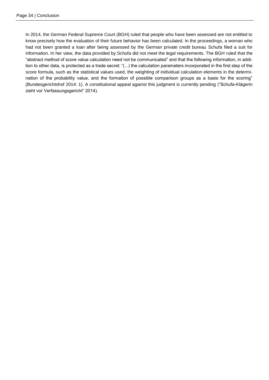In 2014, the German Federal Supreme Court (BGH) ruled that people who have been assessed are not entitled to know precisely how the evaluation of their future behavior has been calculated. In the proceedings, a woman who had not been granted a loan after being assessed by the German private credit bureau Schufa filed a suit for information. In her view, the data provided by Schufa did not meet the legal requirements. The BGH ruled that the "abstract method of score value calculation need not be communicated" and that the following information, in addition to other data, is protected as a trade secret: "(...) the calculation parameters incorporated in the first step of the score formula, such as the statistical values used, the weighting of individual calculation elements in the determination of the probability value, and the formation of possible comparison groups as a basis for the scoring" (Bundesgerichtshof 2014: 1). A constitutional appeal against this judgment is currently pending ("Schufa-Klägerin zieht vor Verfassungsgericht" 2014).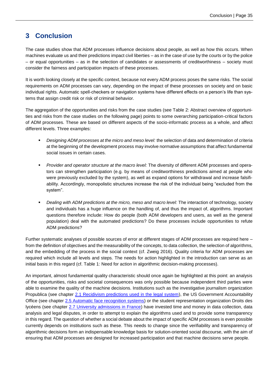### <span id="page-34-0"></span>**3 Conclusion**

The case studies show that ADM processes influence decisions about people, as well as how this occurs. When machines evaluate us and their predictions impact civil liberties – as in the case of use by the courts or by the police – or equal opportunities – as in the selection of candidates or assessments of creditworthiness – society must consider the fairness and participation impacts of these processes.

It is worth looking closely at the specific context, because not every ADM process poses the same risks. The social requirements on ADM processes can vary, depending on the impact of these processes on society and on basic individual rights. Automatic spell-checkers or navigation systems have different effects on a person's life than systems that assign credit risk or risk of criminal behavior.

The aggregation of the opportunities and risks from the case studies (see [Table 2: Abstract overview of opportuni](#page-35-0)[ties and risks from the case studies](#page-35-0) on the following page) points to some overarching participation-critical factors of ADM processes. These are based on different aspects of the socio-informatic process as a whole, and affect different levels. Three examples:

- *Designing ADM processes at the micro and meso level:* the selection of data and determination of criteria at the beginning of the development process may involve normative assumptions that affect fundamental social issues in certain cases.
- *Provider and operator structure at the macro level:* The diversity of different ADM processes and operators can strengthen participation (e.g. by means of creditworthiness predictions aimed at people who were previously excluded by the system), as well as expand options for withdrawal and increase falsifiability. Accordingly, monopolistic structures increase the risk of the individual being "excluded from the system".
- *Dealing with ADM predictions at the micro, meso and macro level:* The interaction of technology, society and individuals has a huge influence on the handling of, and thus the impact of, algorithms. Important questions therefore include: How do people (both ADM developers and users, as well as the general population) deal with the automated predictions? Do these processes include opportunities to refute ADM predictions?

Further systematic analyses of possible sources of error at different stages of ADM processes are required here – from the definition of objectives and the measurability of the concepts, to data collection, the selection of algorithms, and the embedding of the process in the social context (cf. Zweig 2016). Quality criteria for ADM processes are required which include all levels and steps. The needs for action highlighted in the introduction can serve as an initial basis in this regard (cf. [Table 1: Need for action in algorithmic decision-making processes\)](#page-5-0).

An important, almost fundamental quality characteristic should once again be highlighted at this point: an analysis of the opportunities, risks and societal consequences was only possible because independent third parties were able to examine the quality of the machine decisions. Institutions such as the investigative journalism organization Propublica (see chapter [2.1 Recidivism predictions used in the legal system\)](#page-8-0), the US Government Accountability Office (see chapter [2.5 Automatic face recognition systems\)](#page-17-0) or the student representation organization Droits des lycéens (see chapter [2.7 University admissions in France\)](#page-23-0) have invested time and money in data collection, data analysis and legal disputes, in order to attempt to explain the algorithms used and to provide some transparency in this regard. The question of whether a social debate about the impact of specific ADM processes is even possible currently depends on institutions such as these. This needs to change since the verifiability and transparency of algorithmic decisions form an indispensable knowledge basis for solution-oriented social discourse, with the aim of ensuring that ADM processes are designed for increased participation and that machine decisions serve people.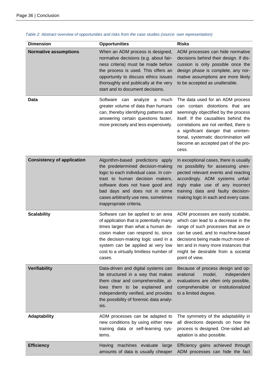| <b>Dimension</b>                  | <b>Opportunities</b>                                                                                                                                                                                                                                                                       | <b>Risks</b>                                                                                                                                                                                                                                                                                                                     |
|-----------------------------------|--------------------------------------------------------------------------------------------------------------------------------------------------------------------------------------------------------------------------------------------------------------------------------------------|----------------------------------------------------------------------------------------------------------------------------------------------------------------------------------------------------------------------------------------------------------------------------------------------------------------------------------|
| <b>Normative assumptions</b>      | When an ADM process is designed,<br>normative decisions (e.g. about fair-<br>ness criteria) must be made before<br>the process is used. This offers an<br>opportunity to discuss ethics issues<br>thoroughly and publically at the very<br>start and to document decisions.                | ADM processes can hide normative<br>decisions behind their design. If dis-<br>cussion is only possible once the<br>design phase is complete, any nor-<br>mative assumptions are more likely<br>to be accepted as unalterable.                                                                                                    |
| <b>Data</b>                       | Software can analyze<br>much<br>a<br>greater volume of data than humans<br>can, thereby identifying patterns and<br>answering certain questions faster,<br>more precisely and less expensively.                                                                                            | The data used for an ADM process<br>can contain distortions that are<br>seemingly objectified by the process<br>itself. If the causalities behind the<br>correlations are not verified, there is<br>a significant danger that uninten-<br>tional, systematic discrimination will<br>become an accepted part of the pro-<br>cess. |
| <b>Consistency of application</b> | Algorithm-based predictions apply<br>the predetermined decision-making<br>logic to each individual case. In con-<br>trast to human decision makers,<br>software does not have good and<br>bad days and does not in some<br>cases arbitrarily use new, sometimes<br>inappropriate criteria. | In exceptional cases, there is usually<br>no possibility for assessing unex-<br>pected relevant events and reacting<br>accordingly. ADM systems unfail-<br>ingly make use of any incorrect<br>training data and faulty decision-<br>making logic in each and every case.                                                         |
| <b>Scalability</b>                | Software can be applied to an area<br>of application that is potentially many<br>times larger than what a human de-<br>cision maker can respond to, since<br>the decision-making logic used in a<br>system can be applied at very low<br>cost to a virtually limitless number of<br>cases. | ADM processes are easily scalable,<br>which can lead to a decrease in the<br>range of such processes that are or<br>can be used, and to machine-based<br>decisions being made much more of-<br>ten and in many more instances that<br>might be desirable from a societal<br>point of view.                                       |
| <b>Verifiability</b>              | Data-driven and digital systems can<br>be structured in a way that makes<br>them clear and comprehensible, al-<br>lows them to be explained and<br>independently verified, and provides<br>the possibility of forensic data analy-<br>sis.                                                 | Because of process design and op-<br>erational<br>model,<br>independent<br>evaluations are often only possible,<br>comprehensible or institutionalized<br>to a limited degree.                                                                                                                                                   |
| Adaptability                      | ADM processes can be adapted to<br>new conditions by using either new<br>training data or self-learning sys-<br>tems.                                                                                                                                                                      | The symmetry of the adaptability in<br>all directions depends on how the<br>process is designed. One-sided ad-<br>aptation is also possible.                                                                                                                                                                                     |
| <b>Efficiency</b>                 | machines evaluate large<br>Having<br>amounts of data is usually cheaper                                                                                                                                                                                                                    | Efficiency gains achieved through<br>ADM processes can hide the fact                                                                                                                                                                                                                                                             |

<span id="page-35-0"></span>*Table 2: Abstract overview of opportunities and risks from the case studies (source: own representation)*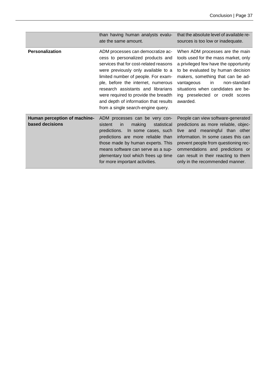|                                                 | than having human analysts evalu-<br>ate the same amount.                                                                                                                                                                                                                                                                                                                                         | that the absolute level of available re-<br>sources is too low or inadequate.                                                                                                                                                                                                                                         |
|-------------------------------------------------|---------------------------------------------------------------------------------------------------------------------------------------------------------------------------------------------------------------------------------------------------------------------------------------------------------------------------------------------------------------------------------------------------|-----------------------------------------------------------------------------------------------------------------------------------------------------------------------------------------------------------------------------------------------------------------------------------------------------------------------|
| <b>Personalization</b>                          | ADM processes can democratize ac-<br>cess to personalized products and<br>services that for cost-related reasons<br>were previously only available to a<br>limited number of people. For exam-<br>ple, before the internet, numerous<br>research assistants and librarians<br>were required to provide the breadth<br>and depth of information that results<br>from a single search-engine query. | When ADM processes are the main<br>tools used for the mass market, only<br>a privileged few have the opportunity<br>to be evaluated by human decision<br>makers, something that can be ad-<br>vantageous<br>in.<br>non-standard<br>situations when candidates are be-<br>ing preselected or credit scores<br>awarded. |
| Human perception of machine-<br>based decisions | ADM processes can be very con-<br>sistent<br>making<br>statistical<br>in<br>predictions.<br>In some cases, such<br>predictions are more reliable than<br>those made by human experts. This<br>means software can serve as a sup-<br>plementary tool which frees up time<br>for more important activities.                                                                                         | People can view software-generated<br>predictions as more reliable, objec-<br>tive and meaningful than other<br>information. In some cases this can<br>prevent people from questioning rec-<br>ommendations and predictions or<br>can result in their reacting to them<br>only in the recommended manner.             |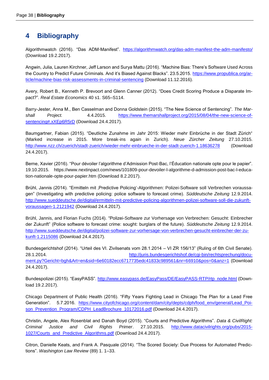### <span id="page-37-0"></span>**4 Bibliography**

Algorithmwatch (2016). "Das ADM-Manifest". <https://algorithmwatch.org/das-adm-manifest-the-adm-manifesto/> (Download 19.2.2017).

Angwin, Julia, Lauren Kirchner, Jeff Larson and Surya Mattu (2016). "Machine Bias: There's Software Used Across the Country to Predict Future Criminals. And it's Biased Against Blacks". 23.5.2015. [https://www.propublica.org/ar](https://www.propublica.org/article/machine-bias-risk-assessments-in-criminal-sentencing)[ticle/machine-bias-risk-assessments-in-criminal-sentencing](https://www.propublica.org/article/machine-bias-risk-assessments-in-criminal-sentencing) (Download 11.12.2016).

Avery, Robert B., Kenneth P. Brevoort and Glenn Canner (2012). "Does Credit Scoring Produce a Disparate Impact?". *Real Estate Economics* 40 s1. S65–S114.

Barry-Jester, Anna M., Ben Casselman and Donna Goldstein (2015). "The New Science of Sentencing". *The Marshall Project.* 4.4.2015. [https://www.themarshallproject.org/2015/08/04/the-new-science-of](https://www.themarshallproject.org/2015/08/04/the-new-science-of-sentencing#.xXEp6R5rD)[sentencing#.xXEp6R5rD](https://www.themarshallproject.org/2015/08/04/the-new-science-of-sentencing#.xXEp6R5rD) (Download 24.4.2017).

Baumgartner, Fabian (2015). "Deutliche Zunahme im Jahr 2015: Wieder mehr Einbrüche in der Stadt Zürich" (Marked increase in 2015. More break-ins again in Zurich). *Neue Zürcher Zeitung* 27.10.2015. <http://www.nzz.ch/zuerich/stadt-zuerich/wieder-mehr-einbrueche-in-der-stadt-zuerich-1.18636278> (Download 24.4.2017).

Berne, Xavier (2016). "Pour dévoiler l'algorithme d'Admission Post-Bac, l'Éducation nationale opte pour le papier". 19.10.2015. https://www.nextinpact.com/news/101809-pour-devoiler-l-algorithme-d-admission-post-bac-l-education-nationale-opte-pour-papier.htm (Download 8.2.2017).

Brühl, Jannis (2014). "Ermitteln mit "Predictive Policing'-Algorithmen: Polizei-Software soll Verbrechen voraussagen" (Investigating with predictive policing: police software to forecast crime). *Süddeutsche Zeitung* 12.9.2014. [http://www.sueddeutsche.de/digital/ermitteln-mit-predictive-policing-algorithmen-polizei-software-soll-die-zukunft](http://www.sueddeutsche.de/digital/ermitteln-mit-predictive-policing-algorithmen-polizei-software-soll-die-zukunft-voraussagen-1.2121942)[voraussagen-1.2121942](http://www.sueddeutsche.de/digital/ermitteln-mit-predictive-policing-algorithmen-polizei-software-soll-die-zukunft-voraussagen-1.2121942) (Download 24.4.2017).

Brühl, Jannis, and Florian Fuchs (2014). "Polizei-Software zur Vorhersage von Verbrechen: Gesucht: Einbrecher der Zukunft" (Police software to forecast crime: sought: burglars of the future). *Süddeutsche Zeitung* 12.9.2014. [http://www.sueddeutsche.de/digital/polizei-software-zur-vorhersage-von-verbrechen-gesucht-einbrecher-der-zu](http://www.sueddeutsche.de/digital/polizei-software-zur-vorhersage-von-verbrechen-gesucht-einbrecher-der-zukunft-1.2115086)[kunft-1.2115086](http://www.sueddeutsche.de/digital/polizei-software-zur-vorhersage-von-verbrechen-gesucht-einbrecher-der-zukunft-1.2115086) (Download 24.4.2017).

Bundesgerichtshof (2014). "Urteil des VI. Zivilsenats vom 28.1.2014 – VI ZR 156/13" (Ruling of 6th Civil Senate). 28.1.2014. [http://juris.bundesgerichtshof.de/cgi-bin/rechtsprechung/docu](http://juris.bundesgerichtshof.de/cgi-bin/rechtsprechung/document.py?Gericht=bgh&amp;Art=en&amp;sid=6e60182ecc6717735edc41833c989561&amp;nr=66910&amp;pos=0&amp;anz=1)[ment.py?Gericht=bgh&Art=en&sid=6e60182ecc6717735edc41833c989561&nr=66910&pos=0&anz=1](http://juris.bundesgerichtshof.de/cgi-bin/rechtsprechung/document.py?Gericht=bgh&amp;Art=en&amp;sid=6e60182ecc6717735edc41833c989561&amp;nr=66910&amp;pos=0&amp;anz=1) (Download 24.4.2017).

Bundespolizei (2015). "EasyPASS". [http://www.easypass.de/EasyPass/DE/EasyPASS-RTP/rtp\\_node.html](http://www.easypass.de/EasyPass/DE/EasyPASS-RTP/rtp_node.html) (Download 19.2.2017).

Chicago Department of Public Health (2016). "Fifty Years Fighting Lead in Chicago The Plan for a Lead Free Generation". 5.7.2016. [https://www.cityofchicago.org/content/dam/city/depts/cdph/food\\_env/general/Lead\\_Poi](https://www.cityofchicago.org/content/dam/city/depts/cdph/food_env/general/Lead_Poison_Prevention_Program/CDPH_LeadBrochure_10172016.pdf)[son\\_Prevention\\_Program/CDPH\\_LeadBrochure\\_10172016.pdf](https://www.cityofchicago.org/content/dam/city/depts/cdph/food_env/general/Lead_Poison_Prevention_Program/CDPH_LeadBrochure_10172016.pdf) (Download 24.4.2017).

Christin, Angele, Alex Rosenblat and Danah Boyd (2015). "Courts and Predictive Algorithms". *Data & CivilRight: Criminal Justice and Civil Rights Primer*. 27.10.2015. [http://www.datacivilrights.org/pubs/2015-](http://www.datacivilrights.org/pubs/2015-1027/Courts_and_Predictive_Algorithms.pdf) [1027/Courts\\_and\\_Predictive\\_Algorithms.pdf](http://www.datacivilrights.org/pubs/2015-1027/Courts_and_Predictive_Algorithms.pdf) (Download 24.4.2017).

Citron, Danielle Keats, and Frank A. Pasquale (2014). "The Scored Society: Due Process for Automated Predictions". *Washington Law Review* (89) 1. 1–33.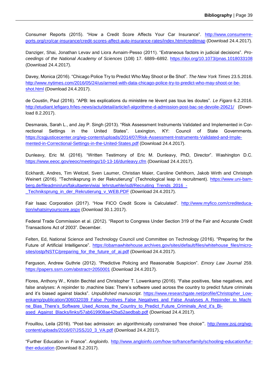Consumer Reports (2015). "How a Credit Score Affects Your Car Insurance". [http://www.consumerre](http://www.consumerreports.org/cro/car-insurance/credit-scores-affect-auto-insurance-rates/index.htm#creditmap)[ports.org/cro/car-insurance/credit-scores-affect-auto-insurance-rates/index.htm#creditmap](http://www.consumerreports.org/cro/car-insurance/credit-scores-affect-auto-insurance-rates/index.htm#creditmap) (Download 24.4.2017).

Danziger, Shai, Jonathan Levav and Liora Avnaim-Pesso (2011). "Extraneous factors in judicial decisions". *Proceedings of the National Academy of Sciences* (108) 17. 6889–6892.<https://doi.org/10.1073/pnas.1018033108> (Download 24.4.2017).

Davey, Monica (2016). "Chicago Police Try to Predict Who May Shoot or Be Shot". *The New York Times* 23.5.2016. [http://www.nytimes.com/2016/05/24/us/armed-with-data-chicago-police-try-to-predict-who-may-shoot-or-be](http://www.nytimes.com/2016/05/24/us/armed-with-data-chicago-police-try-to-predict-who-may-shoot-or-be-shot.html)[shot.html](http://www.nytimes.com/2016/05/24/us/armed-with-data-chicago-police-try-to-predict-who-may-shoot-or-be-shot.html) (Download 24.4.2017).

de Coustin, Paul (2016). "APB: les explications du ministère ne lèvent pas tous les doutes". *Le Figaro* 6.2.2016. <http://etudiant.lefigaro.fr/les-news/actu/detail/article/l-algorithme-d-admission-post-bac-se-devoile-20621/> (Download 8.2.2017).

Desmarais, Sarah L., and Jay P. Singh (2013). "Risk Assessment Instruments Validated and Implemented in Correctional Settings in the United States". Lexington, KY: Council of State Governments. [https://csgjusticecenter.org/wp-content/uploads/2014/07/Risk-Assessment-Instruments-Validated-and-Imple](https://csgjusticecenter.org/wp-content/uploads/2014/07/Risk-Assessment-Instruments-Validated-and-Implemented-in-Correctional-Settings-in-the-United-States.pdf)[mented-in-Correctional-Settings-in-the-United-States.pdf](https://csgjusticecenter.org/wp-content/uploads/2014/07/Risk-Assessment-Instruments-Validated-and-Implemented-in-Correctional-Settings-in-the-United-States.pdf) (Download 24.4.2017).

Dunleavy, Eric M. (2016). "Written Testimony of Eric M. Dunleavy, PhD, Director". Washington D.C. <https://www.eeoc.gov/eeoc/meetings/10-13-16/dunleavy.cfm> (Download 24.4.2017).

Eckhardt, Andres, Tim Weitzel, Sven Laumer, Christian Maier, Caroline Oehlhorn, Jakob Wirth and Christoph Weinert (2016). "Techniksprung in der Rekrutierung" (Technological leap in recruitment). [https://www.uni-bam](https://www.uni-bamberg.de/fileadmin/uni/fakultaeten/wiai_lehrstuehle/isdl/Recruiting_Trends_2016_-_Techniksprung_in_der_Rekrutierung_v_WEB.PDF)[berg.de/fileadmin/uni/fakultaeten/wiai\\_lehrstuehle/isdl/Recruiting\\_Trends\\_2016\\_-](https://www.uni-bamberg.de/fileadmin/uni/fakultaeten/wiai_lehrstuehle/isdl/Recruiting_Trends_2016_-_Techniksprung_in_der_Rekrutierung_v_WEB.PDF) [\\_Techniksprung\\_in\\_der\\_Rekrutierung\\_v\\_WEB.PDF](https://www.uni-bamberg.de/fileadmin/uni/fakultaeten/wiai_lehrstuehle/isdl/Recruiting_Trends_2016_-_Techniksprung_in_der_Rekrutierung_v_WEB.PDF) (Download 24.4.2017).

Fair Isaac Corporation (2017). "How FICO Credit Score is Calculated". [http://www.myfico.com/crediteduca](http://www.myfico.com/crediteducation/whatsinyourscore.aspx)[tion/whatsinyourscore.aspx](http://www.myfico.com/crediteducation/whatsinyourscore.aspx) (Download 30.1.2017).

Federal Trade Commission et al. (2012). "Report to Congress Under Section 319 of the Fair and Accurate Credit Transactions Act of 2003". December.

Felten, Ed, National Science and Technology Council und Committee on Technology (2016). "Preparing for the Future of Artificial Intelligence". [https://obamawhitehouse.archives.gov/sites/default/files/whitehouse\\_files/micro](https://obamawhitehouse.archives.gov/sites/default/files/whitehouse_files/microsites/ostp/NSTC/preparing_for_the_future_of_ai.pdf)[sites/ostp/NSTC/preparing\\_for\\_the\\_future\\_of\\_ai.pdf](https://obamawhitehouse.archives.gov/sites/default/files/whitehouse_files/microsites/ostp/NSTC/preparing_for_the_future_of_ai.pdf) (Download 24.4.2017).

Ferguson, Andrew Guthrie (2012). "Predictive Policing and Reasonable Suspicion". *Emory Law Journal* 259. <https://papers.ssrn.com/abstract=2050001> (Download 24.4.2017).

Flores, Anthony W., Kristin Bechtel and Christopher T. Lowenkamp (2016). "False positives, false negatives, and false analyses: A rejoinder to , machine bias: There's software used across the country to predict future criminals and it's biased against blacks". *Unpublished manuscript*. [https://www.researchgate.net/profile/Christopher\\_Low](https://www.researchgate.net/profile/Christopher_Lowenkamp/publication/306032039_False_Positives_False_Negatives_and_False_Analyses_A_Rejoinder_to_Machine_Bias_There)[enkamp/publication/306032039\\_False\\_Positives\\_False\\_Negatives\\_and\\_False\\_Analyses\\_A\\_Rejoinder\\_to\\_Machi](https://www.researchgate.net/profile/Christopher_Lowenkamp/publication/306032039_False_Positives_False_Negatives_and_False_Analyses_A_Rejoinder_to_Machine_Bias_There) [ne\\_Bias\\_There's\\_Software\\_Used\\_Across\\_the\\_Country\\_to\\_Predict\\_Future\\_Criminals\\_And\\_it's\\_Bi](https://www.researchgate.net/profile/Christopher_Lowenkamp/publication/306032039_False_Positives_False_Negatives_and_False_Analyses_A_Rejoinder_to_Machine_Bias_There)[ased\\_Against\\_Blacks/links/57ab619908ae42ba52aedbab.pdf](https://www.researchgate.net/profile/Christopher_Lowenkamp/publication/306032039_False_Positives_False_Negatives_and_False_Analyses_A_Rejoinder_to_Machine_Bias_There) (Download 24.4.2017).

Frouillou, Leila (2016). "Post-bac admission: an algorithmically constrained 'free choice'". [http://www.jssj.org/wp](http://www.jssj.org/wp-content/uploads/2016/07/JSSJ10_3_VA.pdf)[content/uploads/2016/07/JSSJ10\\_3\\_VA.pdf](http://www.jssj.org/wp-content/uploads/2016/07/JSSJ10_3_VA.pdf) (Download 24.4.2017).

"Further Education in France". *Angloinfo*. [http://www.angloinfo.com/how-to/france/family/schooling-education/fur](http://www.angloinfo.com/how-to/france/family/schooling-education/further-education)[ther-education](http://www.angloinfo.com/how-to/france/family/schooling-education/further-education) (Download 8.2.2017).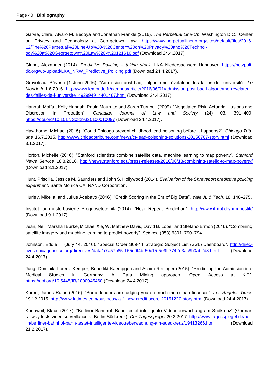Garvie, Clare, Alvaro M. Bedoya and Jonathan Frankle (2016). *The Perpetual Line-Up*. Washington D.C.: Center on Privacy and Technology at Georgetown Law. [https://www.perpetuallineup.org/sites/default/files/2016-](https://www.perpetuallineup.org/sites/default/files/2016-12/The%20Perpetual%20Line-Up%20-%20Center%20on%20Privacy%20and%20Technology%20at%20Georgetown%20Law%20-%20121616.pdf) [12/The%20Perpetual%20Line-Up%20-%20Center%20on%20Privacy%20and%20Technol](https://www.perpetuallineup.org/sites/default/files/2016-12/The%20Perpetual%20Line-Up%20-%20Center%20on%20Privacy%20and%20Technology%20at%20Georgetown%20Law%20-%20121616.pdf)[ogy%20at%20Georgetown%20Law%20-%20121616.pdf](https://www.perpetuallineup.org/sites/default/files/2016-12/The%20Perpetual%20Line-Up%20-%20Center%20on%20Privacy%20and%20Technology%20at%20Georgetown%20Law%20-%20121616.pdf) (Download 24.4.2017).

Gluba, Alexander (2014). *Predictive Policing – taking stock*. LKA Niedersachsen: Hannover. [https://netzpoli](https://netzpolitik.org/wp-upload/LKA_NRW_Predictive_Policing.pdf)[tik.org/wp-upload/LKA\\_NRW\\_Predictive\\_Policing.pdf](https://netzpolitik.org/wp-upload/LKA_NRW_Predictive_Policing.pdf) (Download 24.4.2017).

Graveleau, Séverin (1 June 2016). "Admission post-bac, l'algorithme révélateur des failles de l'université". *Le Monde.fr* 1.6.2016. [http://www.lemonde.fr/campus/article/2016/06/01/admission-post-bac-l-algorithme-revelateur](http://www.lemonde.fr/campus/article/2016/06/01/admission-post-bac-l-algorithme-revelateur-des-failles-de-l-universite_4929949_4401467.html)[des-failles-de-l-universite\\_4929949\\_4401467.html](http://www.lemonde.fr/campus/article/2016/06/01/admission-post-bac-l-algorithme-revelateur-des-failles-de-l-universite_4929949_4401467.html) (Download 24.4.2017).

Hannah-Moffat, Kelly Hannah, Paula Maurutto and Sarah Turnbull (2009). "Negotiated Risk: Actuarial Illusions and Discretion in Probation". *Canadian Journal of Law and Society* (24) 03. 391–409. <https://doi.org/10.1017/S0829320100010097> (Download 24.4.2017).

Hawthorne, Michael (2015). "Could Chicago prevent childhood lead poisoning before it happens?". *Chicago Tribune* 16.7.2015.<http://www.chicagotribune.com/news/ct-lead-poisoning-solutions-20150707-story.html> (Download 3.1.2017).

Horton, Michelle (2016). "Stanford scientists combine satellite data, machine learning to map poverty". *Stanford News Service* 18.8.2016. <http://news.stanford.edu/press-releases/2016/08/18/combining-satellg-to-map-poverty/> (Download 3.1.2017).

Hunt, Priscilla, Jessica M. Saunders and John S. Hollywood (2014). *Evaluation of the Shreveport predictive policing experiment*. Santa Monica CA: RAND Corporation.

Hurley, Mikella, and Julius Adebayo (2016). "Credit Scoring in the Era of Big Data". *Yale JL & Tech.* 18. 148–275.

Institut für musterbasierte Prognosetechnik (2014). "Near Repeat Prediction". <http://www.ifmpt.de/prognostik/> (Download 9.1.2017).

Jean, Neil, Marshall Burke, Michael Xie, W. Matthew Davis, David B. Lobell and Stefano Ermon (2016). "Combining satellite imagery and machine learning to predict poverty". *Science* (353) 6301. 790–794.

Johnson, Eddie T. (July 14, 2016). "Special Order S09-11 Strategic Subject List (SSL) Dashboard". [http://direc](http://directives.chicagopolice.org/directives/data/a7a57b85-155e9f4b-50c15-5e9f-7742e3ac8b0ab2d3.html)[tives.chicagopolice.org/directives/data/a7a57b85-155e9f4b-50c15-5e9f-7742e3ac8b0ab2d3.html](http://directives.chicagopolice.org/directives/data/a7a57b85-155e9f4b-50c15-5e9f-7742e3ac8b0ab2d3.html) (Download 24.4.2017).

Jung, Dominik, Lorenz Kemper, Benedikt Kaempgen and Achim Rettinger (2015). "Predicting the Admission into Medical Studies in Germany: A Data Mining approach. Open Access at KIT". <https://doi.org/10.5445/IR/1000045460> (Download 24.4.2017).

Koren, James Rufus (2015). "Some lenders are judging you on much more than finances". *Los Angeles Times*  19.12.2015.<http://www.latimes.com/business/la-fi-new-credit-score-20151220-story.html> (Download 24.4.2017).

Kurjuweit, Klaus (2017). "Berliner Bahnhof: Bahn testet intelligente Videoüberwachung am Südkreuz" (German railway tests video surveillance at Berlin Südkreuz). *Der Tagesspiegel* 20.2.2017. [http://www.tagesspiegel.de/ber](http://www.tagesspiegel.de/berlin/berliner-bahnhof-bahn-testet-intelligente-videoueberwachung-am-suedkreuz/19413266.html)[lin/berliner-bahnhof-bahn-testet-intelligente-videoueberwachung-am-suedkreuz/19413266.html](http://www.tagesspiegel.de/berlin/berliner-bahnhof-bahn-testet-intelligente-videoueberwachung-am-suedkreuz/19413266.html) (Download 21.2.2017).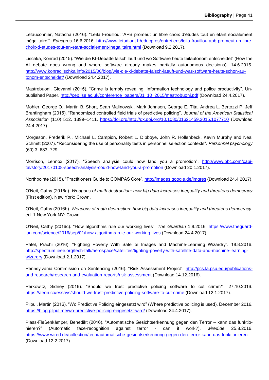Lefauconnier, Natacha (2016). "Leïla Frouillou: 'APB promeut un libre choix d'études tout en étant socialement inégalitaire'". *Educpros* 16.6.2016. [http://www.letudiant.fr/educpros/entretiens/leila-frouillou-apb-promeut-un-libre](http://www.letudiant.fr/educpros/entretiens/leila-frouillou-apb-promeut-un-libre-choix-d-etudes-tout-en-etant-socialement-inegalitaire.html)[choix-d-etudes-tout-en-etant-socialement-inegalitaire.html](http://www.letudiant.fr/educpros/entretiens/leila-frouillou-apb-promeut-un-libre-choix-d-etudes-tout-en-etant-socialement-inegalitaire.html) (Download 9.2.2017).

Lischka, Konrad (2015). "Wie die KI-Debatte falsch läuft und wo Software heute teilautonom entscheidet" (How the AI debate goes wrong and where software already makes partially autonomous decisions). 14.6.2015. [http://www.konradlischka.info/2015/06/blog/wie-die-ki-debatte-falsch-laeuft-und-was-software-heute-schon-au](http://www.konradlischka.info/2015/06/blog/wie-die-ki-debatte-falsch-laeuft-und-was-software-heute-schon-autonom-entscheidet/)[tonom-entscheidet/](http://www.konradlischka.info/2015/06/blog/wie-die-ki-debatte-falsch-laeuft-und-was-software-heute-schon-autonom-entscheidet/) (Download 24.4.2017).

Mastrobuoni, Giovanni (2015). "Crime is terribly revealing: Information technology and police productivity". Unpublished Paper. [http://cep.lse.ac.uk/conference\\_papers/01\\_10\\_2015/mastrobuoni.pdf](http://cep.lse.ac.uk/conference_papers/01_10_2015/mastrobuoni.pdf) (Download 24.4.2017).

Mohler, George O., Martin B. Short, Sean Malinowski, Mark Johnson, George E. Tita, Andrea L. Bertozzi P. Jeff Brantingham (2015). "Randomized controlled field trials of predictive policing". *Journal of the American Statistical Association* (110) 512. 1399–1411. [https://doi.org/http://dx.doi.org/10.1080/01621459.2015.1077710](https://doi.org/http:/dx.doi.org/10.1080/01621459.2015.1077710) (Download 24.4.2017).

Morgeson, Frederik P., Michael L. Campion, Robert L. Dipboye, John R. Hollenbeck, Kevin Murphy and Neal Schmitt (2007). "Reconsidering the use of personality tests in personnel selection contexts". *Personnel psychology* (60) 3. 683–729.

Morrison, Lennox (2017). "Speech analysis could now land you a promotion". [http://www.bbc.com/capi](http://www.bbc.com/capital/story/20170108-speech-analysis-could-now-land-you-a-promotion)[tal/story/20170108-speech-analysis-could-now-land-you-a-promotion](http://www.bbc.com/capital/story/20170108-speech-analysis-could-now-land-you-a-promotion) (Download 20.1.2017).

Northpointe (2015). "Practitioners Guide to COMPAS Core".<http://images.google.de/imgres> (Download 24.4.2017).

O'Neil, Cathy (2016a). *Weapons of math destruction: how big data increases inequality and threatens democracy* (First edition). New York: Crown.

O'Neil, Cathy (2016b). *Weapons of math destruction: how big data increases inequality and threatens democracy.* ed. 1 New York NY: Crown.

O'Neil, Cathy (2016c). "How algorithms rule our working lives". *The Guardian* 1.9.2016. [https://www.theguard](https://www.theguardian.com/science/2016/sep/01/how-algorithms-rule-our-working-lives)[ian.com/science/2016/sep/01/how-algorithms-rule-our-working-lives](https://www.theguardian.com/science/2016/sep/01/how-algorithms-rule-our-working-lives) (Download 24.4.2017).

Patel, Prachi (2016). "Fighting Poverty With Satellite Images and Machine-Learning Wizardry". 18.8.2016. [http://spectrum.ieee.org/tech-talk/aerospace/satellites/fighting-poverty-with-satellite-data-and-machine-learning](http://spectrum.ieee.org/tech-talk/aerospace/satellites/fighting-poverty-with-satellite-data-and-machine-learning-wizardry)[wizardry](http://spectrum.ieee.org/tech-talk/aerospace/satellites/fighting-poverty-with-satellite-data-and-machine-learning-wizardry) (Download 2.1.2017).

Pennsylvania Commission on Sentencing (2016). "Risk Assessment Project". [http://pcs.la.psu.edu/publications](http://pcs.la.psu.edu/publications-and-research/research-and-evaluation-reports/risk-assessment)[and-research/research-and-evaluation-reports/risk-assessment](http://pcs.la.psu.edu/publications-and-research/research-and-evaluation-reports/risk-assessment) (Download 14.12.2016).

Perkowitz, Sidney (2016). "Should we trust predictive policing software to cut crime?". 27.10.2016. <https://aeon.co/essays/should-we-trust-predictive-policing-software-to-cut-crime> (Download 12.1.2017).

Pilpul, Martin (2016). "Wo Predictive Policing eingesetzt wird" (Where predictive policing is used). December 2016. <https://blog.pilpul.me/wo-predictive-policing-eingesetzt-wird/> (Download 24.4.2017).

Plass-Fleßenkämper, Benedikt (2016). "Automatische Gesichtserkennung gegen den Terror – kann das funktionieren?" (Automatic face-recognition against terror - can it work?). *wired.de* 25.8.2016. <https://www.wired.de/collection/tech/automatische-gesichtserkennung-gegen-den-terror-kann-das-funktionieren> (Download 12.2.2017).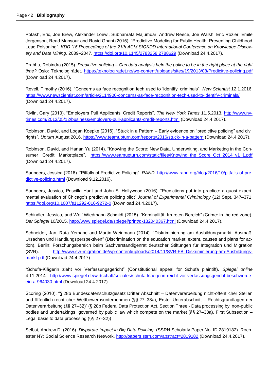Potash, Eric, Joe Brew, Alexander Loewi, Subhanrata Majumdar, Andrew Reece, Joe Walsh, Eric Rozier, Emile Jorgenson, Read Mansour and Rayid Ghani (2015). "Predictive Modeling for Public Health: Preventing Childhood Lead Poisoning". *KDD '15 Proceedings of the 21th ACM SIGKDD International Conference on Knowledge Discovery and Data Mining.* 2039–2047.<https://doi.org/10.1145/2783258.2788629> (Download 24.4.2017).

Prabhu, Robindra (2015). *Predictive policing – Can data analysis help the police to be in the right place at the right time?* Oslo: Teknologirådet.<https://teknologiradet.no/wp-content/uploads/sites/19/2013/08/Predicitve-policing.pdf> (Download 24.4.2017).

Revell, Timothy (2016). "Concerns as face recognition tech used to 'identify' criminals". *New Scientist* 12.1.2016. https://www.newscientist.com/article/2114900-concerns-as-face-recognition-tech-used-to-identify-criminals/ (Download 24.4.2017).

Rivlin, Gary (2013). "Employers Pull Applicants' Credit Reports". *The New York Times* 11.5.2013. [http://www.ny](http://www.nytimes.com/2013/05/12/business/employers-pull-applicants-credit-reports.html)[times.com/2013/05/12/business/employers-pull-applicants-credit-reports.html](http://www.nytimes.com/2013/05/12/business/employers-pull-applicants-credit-reports.html) (Download 24.4.2017).

Robinson, David, and Logan Koepke (2016). "Stuck in a Pattern – Early evidence on "predictive policing" and civil rights". *Upturn* August 2016.<https://www.teamupturn.com/reports/2016/stuck-in-a-pattern> (Download 24.4.2017).

Robinson, David, and Harlan Yu (2014). "Knowing the Score: New Data, Underwriting, and Marketing in the Consumer Credit Marketplace". [https://www.teamupturn.com/static/files/Knowing\\_the\\_Score\\_Oct\\_2014\\_v1\\_1.pdf](https://www.teamupturn.com/static/files/Knowing_the_Score_Oct_2014_v1_1.pdf) (Download 24.4.2017).

Saunders, Jessica (2016). "Pitfalls of Predictive Policing". *RAND*. [http://www.rand.org/blog/2016/10/pitfalls-of-pre](http://www.rand.org/blog/2016/10/pitfalls-of-predictive-policing.html)[dictive-policing.html](http://www.rand.org/blog/2016/10/pitfalls-of-predictive-policing.html) (Download 9.12.2016).

Saunders, Jessica, Priscilla Hunt and John S. Hollywood (2016). "Predictions put into practice: a quasi-experimental evaluation of Chicago's predictive policing pilot".*Journal of Experimental Criminology* (12) Sept. 347–371. <https://doi.org/10.1007/s11292-016-9272-0> (Download 24.4.2017).

Schindler, Jessica, and Wolf Wiedmann-Schmidt (2015). "Kriminalität: Im roten Bereich" (Crime: in the red zone). *Der Spiegel* 10/2015.<http://www.spiegel.de/spiegel/print/d-132040367.html> (Download 24.4.2017).

Schneider, Jan, Ruta Yemane and Martin Weinmann (2014). "Diskriminierung am Ausbildungsmarkt: Ausmaß, Ursachen und Handlungsperspektiven" (Discrimination on the education market: extent, causes and plans for action). Berlin: Forschungsbereich beim Sachverständigenrat deutscher Stiftungen für Integration und Migration (SVR). [http://www.svr-migration.de/wp-content/uploads/2014/11/SVR-FB\\_Diskriminierung-am-Ausbildungs](http://www.svr-migration.de/wp-content/uploads/2014/11/SVR-FB_Diskriminierung-am-Ausbildungsmarkt.pdf)[markt.pdf](http://www.svr-migration.de/wp-content/uploads/2014/11/SVR-FB_Diskriminierung-am-Ausbildungsmarkt.pdf) (Download 24.4.2017).

"Schufa-Klägerin zieht vor Verfassungsgericht" (Constitutional appeal for Schufa plaintiff). *Spiegel online* 4.11.2014. [http://www.spiegel.de/wirtschaft/soziales/schufa-klaegerin-reicht-vor-verfassungsgericht-beschwerde](http://www.spiegel.de/wirtschaft/soziales/schufa-klaegerin-reicht-vor-verfassungsgericht-beschwerde-ein-a-964030.html)[ein-a-964030.html](http://www.spiegel.de/wirtschaft/soziales/schufa-klaegerin-reicht-vor-verfassungsgericht-beschwerde-ein-a-964030.html) (Download 24.4.2017).

Scoring (2010). "§ 28b Bundesdatenschutzgesetz Dritter Abschnitt – Datenverarbeitung nicht-öffentlicher Stellen und öffentlich-rechtlicher Wettbewerbsunternehmen (§§ 27–38a), Erster Unterabschnitt – Rechtsgrundlagen der Datenverarbeitung (§§ 27–32)" (§ 28b Federal Data Protection Act, Section Three - Data processing by non-public bodies and undertakings governed by public law which compete on the market (§§ 27–38a), First Subsection – Legal basis to data processing (§§ 27–32))

Selbst, Andrew D. (2016). *Disparate Impact in Big Data Policing.* (SSRN Scholarly Paper No. ID 2819182). Rochester NY: Social Science Research Network.<http://papers.ssrn.com/abstract=2819182> (Download 24.4.2017).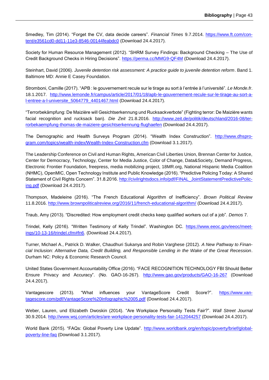Smedley, Tim (2014). "Forget the CV, data decide careers". *Financial Times* 9.7.2014. [https://www.ft.com/con](https://www.ft.com/content/e3561cd0-dd11-11e3-8546-00144feabdc0)[tent/e3561cd0-dd11-11e3-8546-00144feabdc0](https://www.ft.com/content/e3561cd0-dd11-11e3-8546-00144feabdc0) (Download 24.4.2017).

Society for Human Resource Management (2012). "SHRM Survey Findings: Background Checking – The Use of Credit Background Checks in Hiring Decisions".<https://perma.cc/MMG9-QF4M> (Download 24.4.2017).

Steinhart, David (2006). *Juvenile detention risk assessment: A practice guide to juvenile detention reform*. Band 1. Baltimore MD: Annie E Casey Foundation.

Stromboni, Camille (2017). "APB : le gouvernement recule sur le tirage au sort à l'entrée à l'université". *Le Monde.fr*. 18.1.2017. [http://www.lemonde.fr/campus/article/2017/01/18/apb-le-gouvernement-recule-sur-le-tirage-au-sort-a](http://www.lemonde.fr/campus/article/2017/01/18/apb-le-gouvernement-recule-sur-le-tirage-au-sort-a-l-entree-a-l-universite_5064779_4401467.html)[l-entree-a-l-universite\\_5064779\\_4401467.html](http://www.lemonde.fr/campus/article/2017/01/18/apb-le-gouvernement-recule-sur-le-tirage-au-sort-a-l-entree-a-l-universite_5064779_4401467.html) (Download 24.4.2017).

"Terrorbekämpfung: De Maizière will Gesichtserkennung und Rucksackverbote" (Fighting terror: De Maizière wants facial recognition and rucksack ban). *Die Zeit* 21.8.2016. [http://www.zeit.de/politik/deutschland/2016-08/ter](http://www.zeit.de/politik/deutschland/2016-08/terrorbekaempfung-thomas-de-maiziere-gesichtserkennung-flughaefen)[rorbekaempfung-thomas-de-maiziere-gesichtserkennung-flughaefen](http://www.zeit.de/politik/deutschland/2016-08/terrorbekaempfung-thomas-de-maiziere-gesichtserkennung-flughaefen) (Download 24.4.2017).

The Demographic and Health Surveys Program (2014). "Wealth Index Construction". [http://www.dhspro](http://www.dhsprogram.com/topics/wealth-index/Wealth-Index-Construction.cfm)[gram.com/topics/wealth-index/Wealth-Index-Construction.cfm](http://www.dhsprogram.com/topics/wealth-index/Wealth-Index-Construction.cfm) (Download 3.1.2017).

The Leadership Conference on Civil and Human Rights, American Civil Liberties Union, Brennan Center for Justice, Center for Democracy, Technology, Center for Media Justice, Color of Change, Data&Society, Demand Progress, Electronic Frontier Foundation, freepress, media mobilizing project, 18MR.org, National Hispanic Media Coalition (NHMC), OpenMIC, Open Technology Institute and Public Knowledge (2016). "Predictive Policing Today: A Shared Statement of Civil Rights Concern". 31.8.2016. [http://civilrightsdocs.info/pdf/FINAL\\_JointStatementPredictivePolic](http://civilrightsdocs.info/pdf/FINAL_JointStatementPredictivePolicing.pdf)[ing.pdf](http://civilrightsdocs.info/pdf/FINAL_JointStatementPredictivePolicing.pdf) (Download 24.4.2017).

Thompson, Madeleine (2016). "The French Educational Algorithm of Inefficiency". *Brown Political Review* 11.8.2016.<http://www.brownpoliticalreview.org/2016/11/french-educational-algorithm/> (Download 24.4.2017).

Traub, Amy (2013). "Discredited: How employment credit checks keep qualified workers out of a job". *Demos* 7.

Trindel, Kelly (2016). "Written Testimony of Kelly Trindel". Washington DC. [https://www.eeoc.gov/eeoc/meet](https://www.eeoc.gov/eeoc/meetings/10-13-16/trindel.cfm#fn6)[ings/10-13-16/trindel.cfm#fn6.](https://www.eeoc.gov/eeoc/meetings/10-13-16/trindel.cfm#fn6) (Download 24.4.2017).

Turner, Michael A., Patrick D. Walker, Chaudhuri Sukanya and Robin Varghese (2012). *A New Pathway to Financial Inclusion: Alternative Data, Credit Building, and Responsible Lending in the Wake of the Great Recession*. Durham NC: Policy & Economic Research Council.

United States Government Accountability Office (2016). "FACE RECOGNITION TECHNOLOGY FBI Should Better Ensure Privacy and Accuracy". (No. GAO-16-267). <http://www.gao.gov/products/GAO-16-267> (Download 24.4.2017).

Vantagescore (2013). "What influences your VantageScore Credit Score?". [https://www.van](https://www.vantagescore.com/pdf/VantageScore%20Infographic%2005.pdf)[tagescore.com/pdf/VantageScore%20Infographic%2005.pdf](https://www.vantagescore.com/pdf/VantageScore%20Infographic%2005.pdf) (Download 24.4.2017).

Weber, Lauren, und Elizabeth Dwoskin (2014). "Are Workplace Personality Tests Fair?". *Wall Street Journal*  30.9.2014.<http://www.wsj.com/articles/are-workplace-personality-tests-fair-1412044257> (Download 24.4.2017).

World Bank (2015). "FAQs: Global Poverty Line Update". [http://www.worldbank.org/en/topic/poverty/brief/global](http://www.worldbank.org/en/topic/poverty/brief/global-poverty-line-faq)[poverty-line-faq](http://www.worldbank.org/en/topic/poverty/brief/global-poverty-line-faq) (Download 3.1.2017).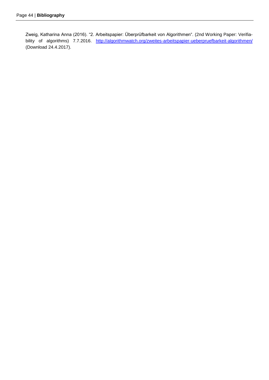Zweig, Katharina Anna (2016). "2. Arbeitspapier: Überprüfbarkeit von Algorithmen". (2nd Working Paper: Verifiability of algorithms) 7.7.2016. <http://algorithmwatch.org/zweites-arbeitspapier-ueberpruefbarkeit-algorithmen/> (Download 24.4.2017).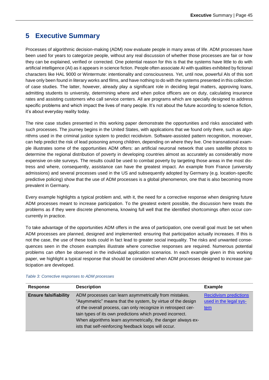### <span id="page-44-0"></span>**5 Executive Summary**

Processes of algorithmic decision-making (ADM) now evaluate people in many areas of life. ADM processes have been used for years to categorize people, without any real discussion of whether those processes are fair or how they can be explained, verified or corrected. One potential reason for this is that the systems have little to do with artificial intelligence (AI) as it appears in science fiction. People often associate AI with qualities exhibited by fictional characters like HAL 9000 or Wintermute: intentionality and consciousness. Yet, until now, powerful AIs of this sort have only been found in literary works and films, and have nothing to do with the systems presented in this collection of case studies. The latter, however, already play a significant role in deciding legal matters, approving loans, admitting students to university, determining where and when police officers are on duty, calculating insurance rates and assisting customers who call service centers. All are programs which are specially designed to address specific problems and which impact the lives of many people. It's not about the future according to science fiction, it's about everyday reality today.

The nine case studies presented in this working paper demonstrate the opportunities and risks associated with such processes. The journey begins in the United States, with applications that we found only there, such as algorithms used in the criminal justice system to predict recidivism. Software-assisted pattern recognition, moreover, can help predict the risk of lead poisoning among children, depending on where they live. One transnational example illustrates some of the opportunities ADM offers: an artificial neuronal network that uses satellite photos to determine the regional distribution of poverty in developing countries almost as accurately as considerably more expensive on-site surveys. The results could be used to combat poverty by targeting those areas in the most distress and where, consequently, assistance can have the greatest impact. An example from France (university admissions) and several processes used in the US and subsequently adopted by Germany (e.g. location-specific predictive policing) show that the use of ADM processes is a global phenomenon, one that is also becoming more prevalent in Germany.

Every example highlights a typical problem and, with it, the need for a corrective response when designing future ADM processes meant to increase participation. To the greatest extent possible, the discussion here treats the problems as if they were discrete phenomena, knowing full well that the identified shortcomings often occur concurrently in practice.

To take advantage of the opportunities ADM offers in the area of participation, one overall goal must be set when ADM processes are planned, designed and implemented: ensuring that participation actually increases. If this is not the case, the use of these tools could in fact lead to greater social inequality. The risks and unwanted consequences seen in the chosen examples illustrate where corrective responses are required. Numerous potential problems can often be observed in the individual application scenarios. In each example given in this working paper, we highlight a typical response that should be considered when ADM processes designed to increase participation are developed.

| Response                     | <b>Description</b>                                            | <b>Example</b>                |
|------------------------------|---------------------------------------------------------------|-------------------------------|
| <b>Ensure falsifiability</b> | ADM processes can learn asymmetrically from mistakes.         | <b>Recidivism predictions</b> |
|                              | "Asymmetric" means that the system, by virtue of the design   | used in the legal sys-        |
|                              | of the overall process, can only recognize in retrospect cer- | tem                           |
|                              | tain types of its own predictions which proved incorrect.     |                               |
|                              | When algorithms learn asymmetrically, the danger always ex-   |                               |
|                              | ists that self-reinforcing feedback loops will occur.         |                               |

*Table 3: Corrective responses to ADM processes*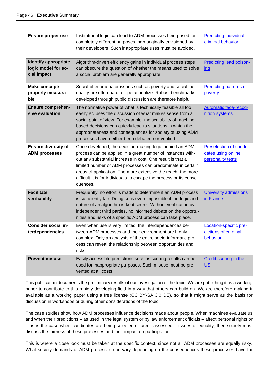| <b>Ensure proper use</b>                                          | Institutional logic can lead to ADM processes being used for<br>completely different purposes than originally envisioned by<br>their developers. Such inappropriate uses must be avoided.                                                                                                                                                                                                             | <b>Predicting individual</b><br>criminal behavior                 |
|-------------------------------------------------------------------|-------------------------------------------------------------------------------------------------------------------------------------------------------------------------------------------------------------------------------------------------------------------------------------------------------------------------------------------------------------------------------------------------------|-------------------------------------------------------------------|
| <b>Identify appropriate</b><br>logic model for so-<br>cial impact | Algorithm-driven efficiency gains in individual process steps<br>can obscure the question of whether the means used to solve<br>a social problem are generally appropriate.                                                                                                                                                                                                                           | <b>Predicting lead poison-</b><br><u>ing</u>                      |
| <b>Make concepts</b><br>properly measura-<br>ble                  | Social phenomena or issues such as poverty and social ine-<br>quality are often hard to operationalize. Robust benchmarks<br>developed through public discussion are therefore helpful.                                                                                                                                                                                                               | <b>Predicting patterns of</b><br>poverty                          |
| <b>Ensure comprehen-</b><br>sive evaluation                       | The normative power of what is technically feasible all too<br>easily eclipses the discussion of what makes sense from a<br>social point of view. For example, the scalability of machine-<br>based decisions can quickly lead to situations in which the<br>appropriateness and consequences for society of using ADM<br>processes have neither been debated nor verified.                           | <b>Automatic face-recog-</b><br>nition systems                    |
| <b>Ensure diversity of</b><br><b>ADM processes</b>                | Once developed, the decision-making logic behind an ADM<br>process can be applied in a great number of instances with-<br>out any substantial increase in cost. One result is that a<br>limited number of ADM processes can predominate in certain<br>areas of application. The more extensive the reach, the more<br>difficult it is for individuals to escape the process or its conse-<br>quences. | Preselection of candi-<br>dates using online<br>personality tests |
| <b>Facilitate</b><br>verifiability                                | Frequently, no effort is made to determine if an ADM process<br>is sufficiently fair. Doing so is even impossible if the logic and<br>nature of an algorithm is kept secret. Without verification by<br>independent third parties, no informed debate on the opportu-<br>nities and risks of a specific ADM process can take place.                                                                   | <b>University admissions</b><br>in France                         |
| Consider social in-<br>terdependencies                            | Even when use is very limited, the interdependences be-<br>tween ADM processes and their environment are highly<br>complex. Only an analysis of the entire socio-informatic pro-<br>cess can reveal the relationship between opportunities and<br>risks.                                                                                                                                              | Location-specific pre-<br>dictions of criminal<br>behavior        |
| <b>Prevent misuse</b>                                             | Easily accessible predictions such as scoring results can be<br>used for inappropriate purposes. Such misuse must be pre-<br>vented at all costs.                                                                                                                                                                                                                                                     | <b>Credit scoring in the</b><br>$US$                              |

This publication documents the preliminary results of our investigation of the topic. We are publishing it as a working paper to contribute to this rapidly developing field in a way that others can build on. We are therefore making it available as a working paper using a free license (CC BY-SA 3.0 DE), so that it might serve as the basis for discussion in workshops or during other considerations of the topic.

The case studies show how ADM processes influence decisions made about people. When machines evaluate us and when their predictions – as used in the legal system or by law enforcement officials – affect personal rights or – as is the case when candidates are being selected or credit assessed – issues of equality, then society must discuss the fairness of these processes and their impact on participation.

This is where a close look must be taken at the specific context, since not all ADM processes are equally risky. What society demands of ADM processes can vary depending on the consequences these processes have for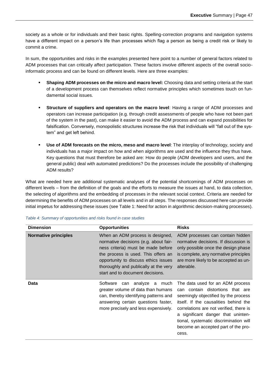society as a whole or for individuals and their basic rights. Spelling-correction programs and navigation systems have a different impact on a person's life than processes which flag a person as being a credit risk or likely to commit a crime.

In sum, the opportunities and risks in the examples presented here point to a number of general factors related to ADM processes that can critically affect participation. These factors involve different aspects of the overall socioinformatic process and can be found on different levels. Here are three examples:

- **Shaping ADM processes on the micro and macro level:** Choosing data and setting criteria at the start of a development process can themselves reflect normative principles which sometimes touch on fundamental social issues.
- **Structure of suppliers and operators on the macro level**: Having a range of ADM processes and operators can increase participation (e.g. through credit assessments of people who have not been part of the system in the past), can make it easier to avoid the ADM process and can expand possibilities for falsification. Conversely, monopolistic structures increase the risk that individuals will "fall out of the system" and get left behind.
- **Use of ADM forecasts on the micro, meso and macro level**: The interplay of technology, society and individuals has a major impact on how and when algorithms are used and the influence they thus have. Key questions that must therefore be asked are: How do people (ADM developers and users, and the general public) deal with automated predictions? Do the processes include the possibility of challenging ADM results?

What are needed here are additional systematic analyses of the potential shortcomings of ADM processes on different levels – from the definition of the goals and the efforts to measure the issues at hand, to data collection, the selecting of algorithms and the embedding of processes in the relevant social context. Criteria are needed for determining the benefits of ADM processes on all levels and in all steps. The responses discussed here can provide initial impetus for addressing these issues (see [Table 1: Need for action in algorithmic decision-making processes\)](#page-5-0).

| <b>Dimension</b>            | <b>Opportunities</b>                                                                                                                                                                                                                                                        | <b>Risks</b>                                                                                                                                                                                                                                                                                                                     |
|-----------------------------|-----------------------------------------------------------------------------------------------------------------------------------------------------------------------------------------------------------------------------------------------------------------------------|----------------------------------------------------------------------------------------------------------------------------------------------------------------------------------------------------------------------------------------------------------------------------------------------------------------------------------|
| <b>Normative principles</b> | When an ADM process is designed,<br>normative decisions (e.g. about fair-<br>ness criteria) must be made before<br>the process is used. This offers an<br>opportunity to discuss ethics issues<br>thoroughly and publically at the very<br>start and to document decisions. | ADM processes can contain hidden<br>normative decisions. If discussion is<br>only possible once the design phase<br>is complete, any normative principles<br>are more likely to be accepted as un-<br>alterable.                                                                                                                 |
| <b>Data</b>                 | Software<br>analyze a much<br>can<br>greater volume of data than humans<br>can, thereby identifying patterns and<br>answering certain questions faster,<br>more precisely and less expensively.                                                                             | The data used for an ADM process<br>can contain distortions that are<br>seemingly objectified by the process<br>itself. If the causalities behind the<br>correlations are not verified, there is<br>a significant danger that uninten-<br>tional, systematic discrimination will<br>become an accepted part of the pro-<br>cess. |

#### *Table 4: Summary of opportunities and risks found in case studies*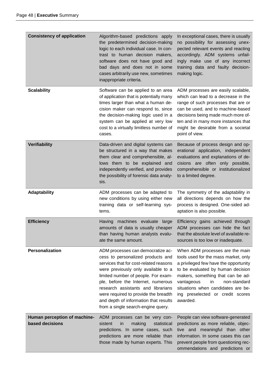| <b>Consistency of application</b>               | Algorithm-based predictions apply<br>the predetermined decision-making<br>logic to each individual case. In con-<br>trast to human decision makers,<br>software does not have good and<br>bad days and does not in some<br>cases arbitrarily use new, sometimes<br>inappropriate criteria.                                                                                                        | In exceptional cases, there is usually<br>no possibility for assessing unex-<br>pected relevant events and reacting<br>accordingly. ADM systems unfail-<br>ingly make use of any incorrect<br>training data and faulty decision-<br>making logic.                                                                    |
|-------------------------------------------------|---------------------------------------------------------------------------------------------------------------------------------------------------------------------------------------------------------------------------------------------------------------------------------------------------------------------------------------------------------------------------------------------------|----------------------------------------------------------------------------------------------------------------------------------------------------------------------------------------------------------------------------------------------------------------------------------------------------------------------|
| <b>Scalability</b>                              | Software can be applied to an area<br>of application that is potentially many<br>times larger than what a human de-<br>cision maker can respond to, since<br>the decision-making logic used in a<br>system can be applied at very low<br>cost to a virtually limitless number of<br>cases.                                                                                                        | ADM processes are easily scalable,<br>which can lead to a decrease in the<br>range of such processes that are or<br>can be used, and to machine-based<br>decisions being made much more of-<br>ten and in many more instances that<br>might be desirable from a societal<br>point of view.                           |
| Verifiability                                   | Data-driven and digital systems can<br>be structured in a way that makes<br>them clear and comprehensible, al-<br>lows them to be explained and<br>independently verified, and provides<br>the possibility of forensic data analy-<br>sis.                                                                                                                                                        | Because of process design and op-<br>erational application, independent<br>evaluations and explanations of de-<br>cisions are often only possible,<br>comprehensible or institutionalized<br>to a limited degree.                                                                                                    |
| Adaptability                                    | ADM processes can be adapted to<br>new conditions by using either new<br>training data or self-learning sys-<br>tems.                                                                                                                                                                                                                                                                             | The symmetry of the adaptability in<br>all directions depends on how the<br>process is designed. One-sided ad-<br>aptation is also possible.                                                                                                                                                                         |
| <b>Efficiency</b>                               | machines evaluate large<br>Having<br>amounts of data is usually cheaper<br>than having human analysts evalu-<br>ate the same amount.                                                                                                                                                                                                                                                              | Efficiency gains achieved through<br>ADM processes can hide the fact<br>that the absolute level of available re-<br>sources is too low or inadequate.                                                                                                                                                                |
| Personalization                                 | ADM processes can democratize ac-<br>cess to personalized products and<br>services that for cost-related reasons<br>were previously only available to a<br>limited number of people. For exam-<br>ple, before the Internet, numerous<br>research assistants and librarians<br>were required to provide the breadth<br>and depth of information that results<br>from a single search-engine query. | When ADM processes are the main<br>tools used for the mass market, only<br>a privileged few have the opportunity<br>to be evaluated by human decision<br>makers, something that can be ad-<br>in<br>non-standard<br>vantageous<br>situations when candidates are be-<br>ing preselected or credit scores<br>awarded. |
| Human perception of machine-<br>based decisions | ADM processes can be very con-<br>sistent<br>making<br>in<br>statistical<br>predictions. In some cases, such<br>predictions are more reliable than<br>those made by human experts. This                                                                                                                                                                                                           | People can view software-generated<br>predictions as more reliable, objec-<br>tive and meaningful than other<br>information. In some cases this can<br>prevent people from questioning rec-<br>ommendations and predictions or                                                                                       |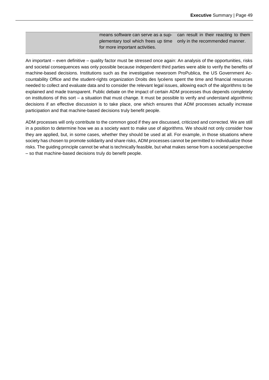means software can serve as a supplementary tool which frees up time for more important activities. can result in their reacting to them only in the recommended manner.

An important – even definitive – quality factor must be stressed once again: An analysis of the opportunities, risks and societal consequences was only possible because independent third parties were able to verify the benefits of machine-based decisions. Institutions such as the investigative newsroom ProPublica, the US Government Accountability Office and the student-rights organization Droits des lycéens spent the time and financial resources needed to collect and evaluate data and to consider the relevant legal issues, allowing each of the algorithms to be explained and made transparent. Public debate on the impact of certain ADM processes thus depends completely on institutions of this sort – a situation that must change. It must be possible to verify and understand algorithmic decisions if an effective discussion is to take place, one which ensures that ADM processes actually increase participation and that machine-based decisions truly benefit people.

ADM processes will only contribute to the common good if they are discussed, criticized and corrected. We are still in a position to determine how we as a society want to make use of algorithms. We should not only consider how they are applied, but, in some cases, whether they should be used at all. For example, in those situations where society has chosen to promote solidarity and share risks, ADM processes cannot be permitted to individualize those risks. The guiding principle cannot be what is technically feasible, but what makes sense from a societal perspective – so that machine-based decisions truly do benefit people.